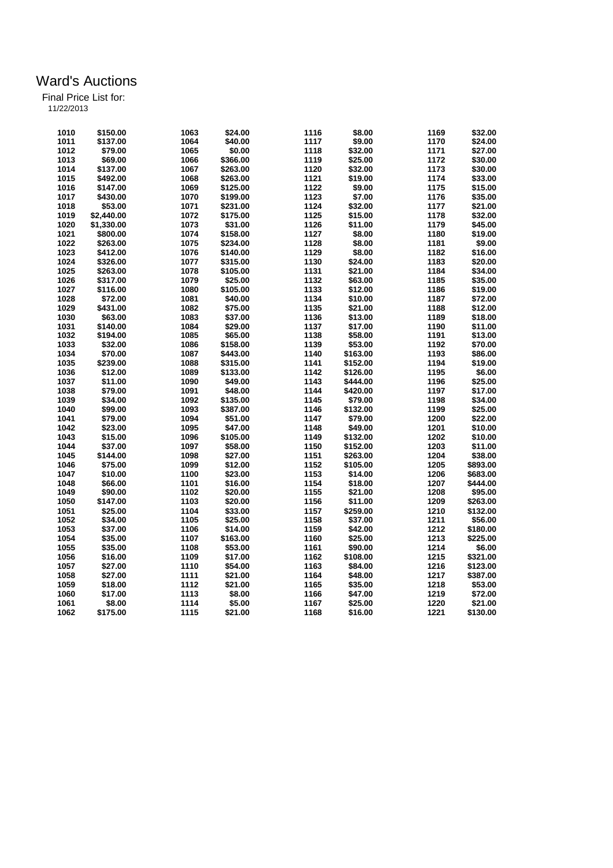|  |  | 11/22/2013 |  |
|--|--|------------|--|
|  |  |            |  |

| 1010 | \$150.00   | 1063 | \$24.00  | 1116 | \$8.00   | 1169 | \$32.00  |
|------|------------|------|----------|------|----------|------|----------|
| 1011 | \$137.00   | 1064 | \$40.00  | 1117 | \$9.00   | 1170 | \$24.00  |
| 1012 | \$79.00    | 1065 | \$0.00   | 1118 | \$32.00  | 1171 | \$27.00  |
| 1013 | \$69.00    | 1066 | \$366.00 | 1119 | \$25.00  | 1172 | \$30.00  |
| 1014 |            |      |          |      |          |      |          |
|      | \$137.00   | 1067 | \$263.00 | 1120 | \$32.00  | 1173 | \$30.00  |
| 1015 | \$492.00   | 1068 | \$263.00 | 1121 | \$19.00  | 1174 | \$33.00  |
| 1016 | \$147.00   | 1069 | \$125.00 | 1122 | \$9.00   | 1175 | \$15.00  |
| 1017 | \$430.00   | 1070 | \$199.00 | 1123 | \$7.00   | 1176 | \$35.00  |
| 1018 | \$53.00    | 1071 | \$231.00 | 1124 | \$32.00  | 1177 | \$21.00  |
| 1019 | \$2,440.00 | 1072 | \$175.00 | 1125 | \$15.00  | 1178 | \$32.00  |
| 1020 | \$1,330.00 | 1073 | \$31.00  | 1126 | \$11.00  | 1179 | \$45.00  |
| 1021 | \$800.00   | 1074 | \$158.00 | 1127 | \$8.00   | 1180 | \$19.00  |
| 1022 | \$263.00   | 1075 | \$234.00 | 1128 | \$8.00   | 1181 | \$9.00   |
| 1023 | \$412.00   | 1076 | \$140.00 | 1129 | \$8.00   | 1182 | \$16.00  |
| 1024 | \$326.00   | 1077 | \$315.00 | 1130 | \$24.00  | 1183 | \$20.00  |
| 1025 | \$263.00   | 1078 | \$105.00 | 1131 | \$21.00  | 1184 | \$34.00  |
| 1026 | \$317.00   | 1079 | \$25.00  | 1132 | \$63.00  | 1185 | \$35.00  |
| 1027 | \$116.00   | 1080 | \$105.00 | 1133 | \$12.00  | 1186 | \$19.00  |
| 1028 | \$72.00    | 1081 | \$40.00  | 1134 | \$10.00  | 1187 | \$72.00  |
| 1029 | \$431.00   | 1082 | \$75.00  | 1135 | \$21.00  | 1188 | \$12.00  |
| 1030 | \$63.00    | 1083 | \$37.00  | 1136 | \$13.00  | 1189 | \$18.00  |
| 1031 | \$140.00   | 1084 | \$29.00  | 1137 | \$17.00  | 1190 | \$11.00  |
| 1032 | \$194.00   | 1085 | \$65.00  | 1138 | \$58.00  | 1191 | \$13.00  |
| 1033 | \$32.00    | 1086 | \$158.00 | 1139 | \$53.00  | 1192 | \$70.00  |
| 1034 | \$70.00    | 1087 | \$443.00 | 1140 | \$163.00 | 1193 | \$86.00  |
| 1035 | \$239.00   | 1088 | \$315.00 | 1141 | \$152.00 | 1194 | \$19.00  |
| 1036 | \$12.00    | 1089 | \$133.00 | 1142 | \$126.00 | 1195 | \$6.00   |
|      |            |      | \$49.00  |      |          |      |          |
| 1037 | \$11.00    | 1090 |          | 1143 | \$444.00 | 1196 | \$25.00  |
| 1038 | \$79.00    | 1091 | \$48.00  | 1144 | \$420.00 | 1197 | \$17.00  |
| 1039 | \$34.00    | 1092 | \$135.00 | 1145 | \$79.00  | 1198 | \$34.00  |
| 1040 | \$99.00    | 1093 | \$387.00 | 1146 | \$132.00 | 1199 | \$25.00  |
| 1041 | \$79.00    | 1094 | \$51.00  | 1147 | \$79.00  | 1200 | \$22.00  |
| 1042 | \$23.00    | 1095 | \$47.00  | 1148 | \$49.00  | 1201 | \$10.00  |
| 1043 | \$15.00    | 1096 | \$105.00 | 1149 | \$132.00 | 1202 | \$10.00  |
| 1044 | \$37.00    | 1097 | \$58.00  | 1150 | \$152.00 | 1203 | \$11.00  |
| 1045 | \$144.00   | 1098 | \$27.00  | 1151 | \$263.00 | 1204 | \$38.00  |
| 1046 | \$75.00    | 1099 | \$12.00  | 1152 | \$105.00 | 1205 | \$893.00 |
| 1047 | \$10.00    | 1100 | \$23.00  | 1153 | \$14.00  | 1206 | \$683.00 |
| 1048 | \$66.00    | 1101 | \$16.00  | 1154 | \$18.00  | 1207 | \$444.00 |
| 1049 | \$90.00    | 1102 | \$20.00  | 1155 | \$21.00  | 1208 | \$95.00  |
| 1050 | \$147.00   | 1103 | \$20.00  | 1156 | \$11.00  | 1209 | \$263.00 |
| 1051 | \$25.00    | 1104 | \$33.00  | 1157 | \$259.00 | 1210 | \$132.00 |
| 1052 | \$34.00    | 1105 | \$25.00  | 1158 | \$37.00  | 1211 | \$56.00  |
| 1053 | \$37.00    | 1106 | \$14.00  | 1159 | \$42.00  | 1212 | \$180.00 |
| 1054 | \$35.00    | 1107 | \$163.00 | 1160 | \$25.00  | 1213 | \$225.00 |
| 1055 | \$35.00    | 1108 | \$53.00  | 1161 | \$90.00  | 1214 | \$6.00   |
| 1056 | \$16.00    | 1109 | \$17.00  | 1162 | \$108.00 | 1215 | \$321.00 |
| 1057 | \$27.00    | 1110 | \$54.00  | 1163 | \$84.00  | 1216 | \$123.00 |
| 1058 | \$27.00    | 1111 | \$21.00  | 1164 | \$48.00  | 1217 | \$387.00 |
| 1059 | \$18.00    | 1112 | \$21.00  | 1165 | \$35.00  | 1218 | \$53.00  |
| 1060 | \$17.00    | 1113 | \$8.00   | 1166 | \$47.00  | 1219 | \$72.00  |
| 1061 | \$8.00     | 1114 | \$5.00   | 1167 | \$25.00  | 1220 | \$21.00  |
| 1062 | \$175.00   | 1115 | \$21.00  |      | \$16.00  | 1221 | \$130.00 |
|      |            |      |          | 1168 |          |      |          |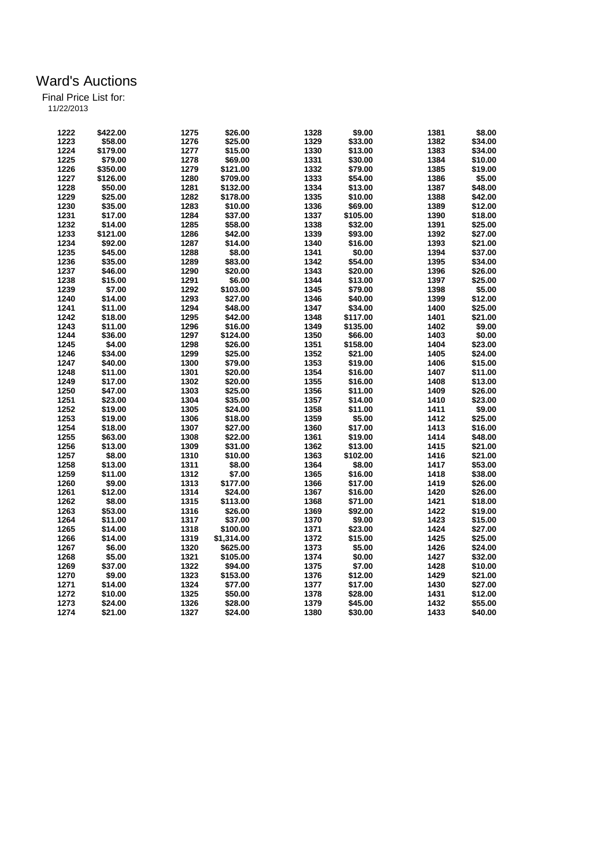| 1222 | \$422.00 | 1275 | \$26.00    | 1328 | \$9.00   | 1381 | \$8.00  |
|------|----------|------|------------|------|----------|------|---------|
| 1223 | \$58.00  | 1276 | \$25.00    | 1329 | \$33.00  | 1382 | \$34.00 |
| 1224 | \$179.00 | 1277 | \$15.00    | 1330 | \$13.00  | 1383 | \$34.00 |
| 1225 | \$79.00  | 1278 | \$69.00    | 1331 | \$30.00  | 1384 | \$10.00 |
| 1226 | \$350.00 | 1279 | \$121.00   | 1332 | \$79.00  | 1385 | \$19.00 |
| 1227 | \$126.00 | 1280 | \$709.00   | 1333 | \$54.00  | 1386 | \$5.00  |
| 1228 | \$50.00  | 1281 | \$132.00   | 1334 | \$13.00  | 1387 | \$48.00 |
| 1229 | \$25.00  | 1282 | \$178.00   | 1335 | \$10.00  | 1388 | \$42.00 |
| 1230 | \$35.00  | 1283 | \$10.00    | 1336 | \$69.00  | 1389 | \$12.00 |
| 1231 | \$17.00  | 1284 | \$37.00    | 1337 | \$105.00 | 1390 | \$18.00 |
| 1232 | \$14.00  | 1285 | \$58.00    | 1338 | \$32.00  | 1391 | \$25.00 |
| 1233 |          | 1286 |            | 1339 | \$93.00  | 1392 | \$27.00 |
|      | \$121.00 |      | \$42.00    |      |          |      |         |
| 1234 | \$92.00  | 1287 | \$14.00    | 1340 | \$16.00  | 1393 | \$21.00 |
| 1235 | \$45.00  | 1288 | \$8.00     | 1341 | \$0.00   | 1394 | \$37.00 |
| 1236 | \$35.00  | 1289 | \$83.00    | 1342 | \$54.00  | 1395 | \$34.00 |
| 1237 | \$46.00  | 1290 | \$20.00    | 1343 | \$20.00  | 1396 | \$26.00 |
| 1238 | \$15.00  | 1291 | \$6.00     | 1344 | \$13.00  | 1397 | \$25.00 |
| 1239 | \$7.00   | 1292 | \$103.00   | 1345 | \$79.00  | 1398 | \$5.00  |
| 1240 | \$14.00  | 1293 | \$27.00    | 1346 | \$40.00  | 1399 | \$12.00 |
| 1241 | \$11.00  | 1294 | \$48.00    | 1347 | \$34.00  | 1400 | \$25.00 |
| 1242 | \$18.00  | 1295 | \$42.00    | 1348 | \$117.00 | 1401 | \$21.00 |
| 1243 | \$11.00  | 1296 | \$16.00    | 1349 | \$135.00 | 1402 | \$9.00  |
| 1244 | \$36.00  | 1297 | \$124.00   | 1350 | \$66.00  | 1403 | \$0.00  |
| 1245 | \$4.00   | 1298 | \$26.00    | 1351 | \$158.00 | 1404 | \$23.00 |
| 1246 | \$34.00  | 1299 | \$25.00    | 1352 | \$21.00  | 1405 | \$24.00 |
| 1247 | \$40.00  | 1300 | \$79.00    | 1353 | \$19.00  | 1406 | \$15.00 |
| 1248 | \$11.00  | 1301 | \$20.00    | 1354 | \$16.00  | 1407 | \$11.00 |
| 1249 | \$17.00  | 1302 | \$20.00    | 1355 | \$16.00  | 1408 | \$13.00 |
| 1250 | \$47.00  | 1303 | \$25.00    | 1356 | \$11.00  | 1409 | \$26.00 |
| 1251 | \$23.00  | 1304 | \$35.00    | 1357 | \$14.00  | 1410 | \$23.00 |
| 1252 |          | 1305 |            | 1358 |          | 1411 | \$9.00  |
| 1253 | \$19.00  |      | \$24.00    | 1359 | \$11.00  | 1412 |         |
|      | \$19.00  | 1306 | \$18.00    |      | \$5.00   |      | \$25.00 |
| 1254 | \$18.00  | 1307 | \$27.00    | 1360 | \$17.00  | 1413 | \$16.00 |
| 1255 | \$63.00  | 1308 | \$22.00    | 1361 | \$19.00  | 1414 | \$48.00 |
| 1256 | \$13.00  | 1309 | \$31.00    | 1362 | \$13.00  | 1415 | \$21.00 |
| 1257 | \$8.00   | 1310 | \$10.00    | 1363 | \$102.00 | 1416 | \$21.00 |
| 1258 | \$13.00  | 1311 | \$8.00     | 1364 | \$8.00   | 1417 | \$53.00 |
| 1259 | \$11.00  | 1312 | \$7.00     | 1365 | \$16.00  | 1418 | \$38.00 |
| 1260 | \$9.00   | 1313 | \$177.00   | 1366 | \$17.00  | 1419 | \$26.00 |
| 1261 | \$12.00  | 1314 | \$24.00    | 1367 | \$16.00  | 1420 | \$26.00 |
| 1262 | \$8.00   | 1315 | \$113.00   | 1368 | \$71.00  | 1421 | \$18.00 |
| 1263 | \$53.00  | 1316 | \$26.00    | 1369 | \$92.00  | 1422 | \$19.00 |
| 1264 | \$11.00  | 1317 | \$37.00    | 1370 | \$9.00   | 1423 | \$15.00 |
| 1265 | \$14.00  | 1318 | \$100.00   | 1371 | \$23.00  | 1424 | \$27.00 |
| 1266 | \$14.00  | 1319 | \$1,314.00 | 1372 | \$15.00  | 1425 | \$25.00 |
| 1267 | \$6.00   | 1320 | \$625.00   | 1373 | \$5.00   | 1426 | \$24.00 |
| 1268 | \$5.00   | 1321 | \$105.00   | 1374 | \$0.00   | 1427 | \$32.00 |
| 1269 | \$37.00  | 1322 | \$94.00    | 1375 | \$7.00   | 1428 | \$10.00 |
| 1270 | \$9.00   | 1323 | \$153.00   | 1376 | \$12.00  | 1429 | \$21.00 |
| 1271 | \$14.00  | 1324 | \$77.00    | 1377 | \$17.00  | 1430 | \$27.00 |
| 1272 | \$10.00  | 1325 | \$50.00    | 1378 | \$28.00  | 1431 | \$12.00 |
| 1273 | \$24.00  | 1326 | \$28.00    | 1379 | \$45.00  | 1432 | \$55.00 |
|      |          |      |            |      |          |      |         |
| 1274 | \$21.00  | 1327 | \$24.00    | 1380 | \$30.00  | 1433 | \$40.00 |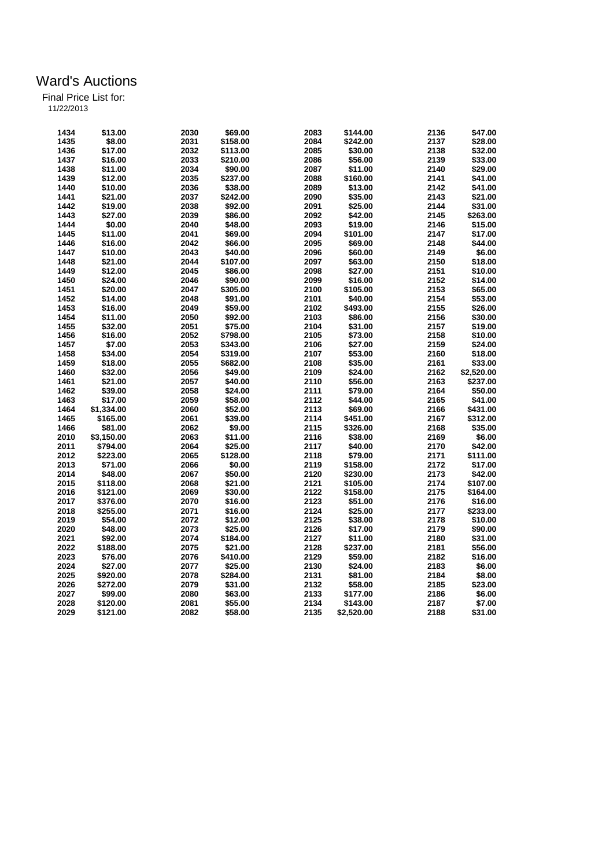| 1434 | \$13.00    | 2030 | \$69.00  | 2083 | \$144.00   | 2136 | \$47.00    |
|------|------------|------|----------|------|------------|------|------------|
| 1435 | \$8.00     | 2031 | \$158.00 | 2084 | \$242.00   | 2137 | \$28.00    |
| 1436 | \$17.00    | 2032 | \$113.00 | 2085 | \$30.00    | 2138 | \$32.00    |
| 1437 | \$16.00    | 2033 | \$210.00 | 2086 | \$56.00    | 2139 | \$33.00    |
| 1438 | \$11.00    | 2034 | \$90.00  | 2087 | \$11.00    | 2140 | \$29.00    |
| 1439 | \$12.00    | 2035 | \$237.00 | 2088 | \$160.00   | 2141 | \$41.00    |
| 1440 | \$10.00    | 2036 | \$38.00  | 2089 | \$13.00    | 2142 | \$41.00    |
| 1441 | \$21.00    | 2037 | \$242.00 | 2090 | \$35.00    | 2143 | \$21.00    |
| 1442 | \$19.00    | 2038 | \$92.00  | 2091 | \$25.00    | 2144 | \$31.00    |
| 1443 | \$27.00    | 2039 | \$86.00  | 2092 | \$42.00    | 2145 | \$263.00   |
| 1444 | \$0.00     | 2040 | \$48.00  | 2093 | \$19.00    | 2146 | \$15.00    |
| 1445 | \$11.00    | 2041 | \$69.00  | 2094 | \$101.00   | 2147 | \$17.00    |
| 1446 | \$16.00    | 2042 | \$66.00  | 2095 | \$69.00    | 2148 | \$44.00    |
| 1447 | \$10.00    | 2043 | \$40.00  | 2096 | \$60.00    | 2149 | \$6.00     |
| 1448 | \$21.00    | 2044 | \$107.00 | 2097 | \$63.00    | 2150 | \$18.00    |
| 1449 | \$12.00    | 2045 | \$86.00  | 2098 | \$27.00    | 2151 | \$10.00    |
| 1450 | \$24.00    | 2046 | \$90.00  | 2099 | \$16.00    | 2152 | \$14.00    |
| 1451 | \$20.00    | 2047 | \$305.00 | 2100 | \$105.00   | 2153 | \$65.00    |
| 1452 | \$14.00    | 2048 | \$91.00  | 2101 | \$40.00    | 2154 | \$53.00    |
| 1453 | \$16.00    | 2049 | \$59.00  | 2102 | \$493.00   | 2155 | \$26.00    |
| 1454 | \$11.00    | 2050 | \$92.00  | 2103 | \$86.00    | 2156 | \$30.00    |
|      |            |      |          | 2104 |            | 2157 |            |
| 1455 | \$32.00    | 2051 | \$75.00  |      | \$31.00    |      | \$19.00    |
| 1456 | \$16.00    | 2052 | \$798.00 | 2105 | \$73.00    | 2158 | \$10.00    |
| 1457 | \$7.00     | 2053 | \$343.00 | 2106 | \$27.00    | 2159 | \$24.00    |
| 1458 | \$34.00    | 2054 | \$319.00 | 2107 | \$53.00    | 2160 | \$18.00    |
| 1459 | \$18.00    | 2055 | \$682.00 | 2108 | \$35.00    | 2161 | \$33.00    |
| 1460 | \$32.00    | 2056 | \$49.00  | 2109 | \$24.00    | 2162 | \$2,520.00 |
| 1461 | \$21.00    | 2057 | \$40.00  | 2110 | \$56.00    | 2163 | \$237.00   |
| 1462 | \$39.00    | 2058 | \$24.00  | 2111 | \$79.00    | 2164 | \$50.00    |
| 1463 | \$17.00    | 2059 | \$58.00  | 2112 | \$44.00    | 2165 | \$41.00    |
| 1464 | \$1,334.00 | 2060 | \$52.00  | 2113 | \$69.00    | 2166 | \$431.00   |
| 1465 | \$165.00   | 2061 | \$39.00  | 2114 | \$451.00   | 2167 | \$312.00   |
| 1466 | \$81.00    | 2062 | \$9.00   | 2115 | \$326.00   | 2168 | \$35.00    |
| 2010 | \$3,150.00 | 2063 | \$11.00  | 2116 | \$38.00    | 2169 | \$6.00     |
| 2011 | \$794.00   | 2064 | \$25.00  | 2117 | \$40.00    | 2170 | \$42.00    |
| 2012 | \$223.00   | 2065 | \$128.00 | 2118 | \$79.00    | 2171 | \$111.00   |
| 2013 | \$71.00    | 2066 | \$0.00   | 2119 | \$158.00   | 2172 | \$17.00    |
| 2014 | \$48.00    | 2067 | \$50.00  | 2120 | \$230.00   | 2173 | \$42.00    |
| 2015 | \$118.00   | 2068 | \$21.00  | 2121 | \$105.00   | 2174 | \$107.00   |
| 2016 | \$121.00   | 2069 | \$30.00  | 2122 | \$158.00   | 2175 | \$164.00   |
| 2017 | \$376.00   | 2070 | \$16.00  | 2123 | \$51.00    | 2176 | \$16.00    |
| 2018 | \$255.00   | 2071 | \$16.00  | 2124 | \$25.00    | 2177 | \$233.00   |
| 2019 | \$54.00    | 2072 | \$12.00  | 2125 | \$38.00    | 2178 | \$10.00    |
| 2020 | \$48.00    | 2073 | \$25.00  | 2126 | \$17.00    | 2179 | \$90.00    |
| 2021 | \$92.00    | 2074 | \$184.00 | 2127 | \$11.00    | 2180 | \$31.00    |
| 2022 | \$188.00   | 2075 | \$21.00  | 2128 | \$237.00   | 2181 | \$56.00    |
| 2023 | \$76.00    | 2076 | \$410.00 | 2129 | \$59.00    | 2182 | \$16.00    |
| 2024 | \$27.00    | 2077 | \$25.00  | 2130 | \$24.00    | 2183 | \$6.00     |
| 2025 | \$920.00   | 2078 | \$284.00 | 2131 | \$81.00    | 2184 | \$8.00     |
| 2026 | \$272.00   | 2079 | \$31.00  | 2132 | \$58.00    | 2185 | \$23.00    |
| 2027 | \$99.00    | 2080 | \$63.00  | 2133 | \$177.00   | 2186 | \$6.00     |
| 2028 | \$120.00   | 2081 | \$55.00  | 2134 | \$143.00   | 2187 | \$7.00     |
| 2029 | \$121.00   | 2082 | \$58.00  | 2135 | \$2,520.00 | 2188 | \$31.00    |
|      |            |      |          |      |            |      |            |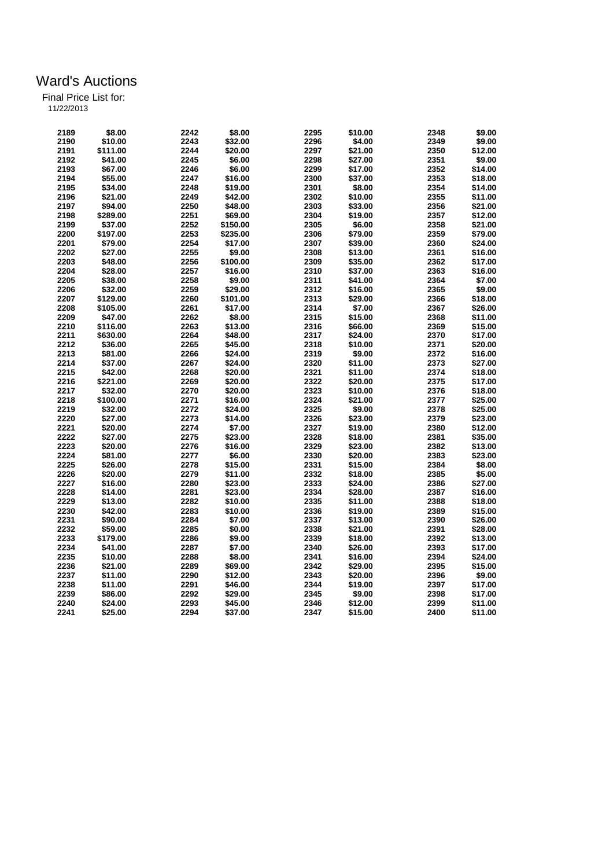| 2189 | \$8.00   | 2242 | \$8.00   | 2295 | \$10.00 | 2348 | \$9.00  |
|------|----------|------|----------|------|---------|------|---------|
| 2190 | \$10.00  | 2243 | \$32.00  | 2296 | \$4.00  | 2349 | \$9.00  |
| 2191 | \$111.00 | 2244 | \$20.00  | 2297 | \$21.00 | 2350 | \$12.00 |
| 2192 | \$41.00  | 2245 | \$6.00   | 2298 | \$27.00 | 2351 | \$9.00  |
| 2193 | \$67.00  | 2246 | \$6.00   | 2299 | \$17.00 | 2352 | \$14.00 |
| 2194 | \$55.00  | 2247 | \$16.00  | 2300 | \$37.00 | 2353 | \$18.00 |
| 2195 | \$34.00  | 2248 | \$19.00  | 2301 | \$8.00  | 2354 | \$14.00 |
| 2196 | \$21.00  | 2249 | \$42.00  | 2302 | \$10.00 | 2355 | \$11.00 |
| 2197 | \$94.00  | 2250 | \$48.00  | 2303 | \$33.00 | 2356 | \$21.00 |
| 2198 | \$289.00 | 2251 | \$69.00  | 2304 | \$19.00 | 2357 | \$12.00 |
| 2199 | \$37.00  | 2252 | \$150.00 | 2305 | \$6.00  | 2358 | \$21.00 |
| 2200 | \$197.00 | 2253 | \$235.00 | 2306 | \$79.00 | 2359 | \$79.00 |
| 2201 | \$79.00  | 2254 | \$17.00  | 2307 | \$39.00 | 2360 | \$24.00 |
| 2202 | \$27.00  | 2255 | \$9.00   | 2308 | \$13.00 | 2361 | \$16.00 |
| 2203 | \$48.00  | 2256 | \$100.00 | 2309 | \$35.00 | 2362 | \$17.00 |
| 2204 | \$28.00  | 2257 | \$16.00  | 2310 | \$37.00 | 2363 | \$16.00 |
| 2205 | \$38.00  | 2258 | \$9.00   | 2311 | \$41.00 | 2364 | \$7.00  |
| 2206 | \$32.00  | 2259 | \$29.00  | 2312 | \$16.00 | 2365 | \$9.00  |
| 2207 | \$129.00 | 2260 | \$101.00 | 2313 | \$29.00 | 2366 | \$18.00 |
| 2208 | \$105.00 | 2261 | \$17.00  | 2314 | \$7.00  | 2367 | \$26.00 |
| 2209 | \$47.00  | 2262 | \$8.00   | 2315 | \$15.00 | 2368 | \$11.00 |
| 2210 | \$116.00 | 2263 | \$13.00  | 2316 | \$66.00 | 2369 | \$15.00 |
|      |          |      |          | 2317 |         | 2370 |         |
| 2211 | \$630.00 | 2264 | \$48.00  |      | \$24.00 |      | \$17.00 |
| 2212 | \$36.00  | 2265 | \$45.00  | 2318 | \$10.00 | 2371 | \$20.00 |
| 2213 | \$81.00  | 2266 | \$24.00  | 2319 | \$9.00  | 2372 | \$16.00 |
| 2214 | \$37.00  | 2267 | \$24.00  | 2320 | \$11.00 | 2373 | \$27.00 |
| 2215 | \$42.00  | 2268 | \$20.00  | 2321 | \$11.00 | 2374 | \$18.00 |
| 2216 | \$221.00 | 2269 | \$20.00  | 2322 | \$20.00 | 2375 | \$17.00 |
| 2217 | \$32.00  | 2270 | \$20.00  | 2323 | \$10.00 | 2376 | \$18.00 |
| 2218 | \$100.00 | 2271 | \$16.00  | 2324 | \$21.00 | 2377 | \$25.00 |
| 2219 | \$32.00  | 2272 | \$24.00  | 2325 | \$9.00  | 2378 | \$25.00 |
| 2220 | \$27.00  | 2273 | \$14.00  | 2326 | \$23.00 | 2379 | \$23.00 |
| 2221 | \$20.00  | 2274 | \$7.00   | 2327 | \$19.00 | 2380 | \$12.00 |
| 2222 | \$27.00  | 2275 | \$23.00  | 2328 | \$18.00 | 2381 | \$35.00 |
| 2223 | \$20.00  | 2276 | \$16.00  | 2329 | \$23.00 | 2382 | \$13.00 |
| 2224 | \$81.00  | 2277 | \$6.00   | 2330 | \$20.00 | 2383 | \$23.00 |
| 2225 | \$26.00  | 2278 | \$15.00  | 2331 | \$15.00 | 2384 | \$8.00  |
| 2226 | \$20.00  | 2279 | \$11.00  | 2332 | \$18.00 | 2385 | \$5.00  |
| 2227 | \$16.00  | 2280 | \$23.00  | 2333 | \$24.00 | 2386 | \$27.00 |
| 2228 | \$14.00  | 2281 | \$23.00  | 2334 | \$28.00 | 2387 | \$16.00 |
| 2229 | \$13.00  | 2282 | \$10.00  | 2335 | \$11.00 | 2388 | \$18.00 |
| 2230 | \$42.00  | 2283 | \$10.00  | 2336 | \$19.00 | 2389 | \$15.00 |
| 2231 | \$90.00  | 2284 | \$7.00   | 2337 | \$13.00 | 2390 | \$26.00 |
| 2232 | \$59.00  | 2285 | \$0.00   | 2338 | \$21.00 | 2391 | \$28.00 |
| 2233 | \$179.00 | 2286 | \$9.00   | 2339 | \$18.00 | 2392 | \$13.00 |
| 2234 | \$41.00  | 2287 | \$7.00   | 2340 | \$26.00 | 2393 | \$17.00 |
| 2235 | \$10.00  | 2288 | \$8.00   | 2341 | \$16.00 | 2394 | \$24.00 |
| 2236 | \$21.00  | 2289 | \$69.00  | 2342 | \$29.00 | 2395 | \$15.00 |
| 2237 | \$11.00  | 2290 | \$12.00  | 2343 | \$20.00 | 2396 | \$9.00  |
| 2238 | \$11.00  | 2291 | \$46.00  | 2344 | \$19.00 | 2397 | \$17.00 |
| 2239 | \$86.00  | 2292 | \$29.00  | 2345 | \$9.00  | 2398 | \$17.00 |
| 2240 | \$24.00  | 2293 | \$45.00  | 2346 | \$12.00 | 2399 | \$11.00 |
| 2241 | \$25.00  | 2294 | \$37.00  | 2347 | \$15.00 | 2400 | \$11.00 |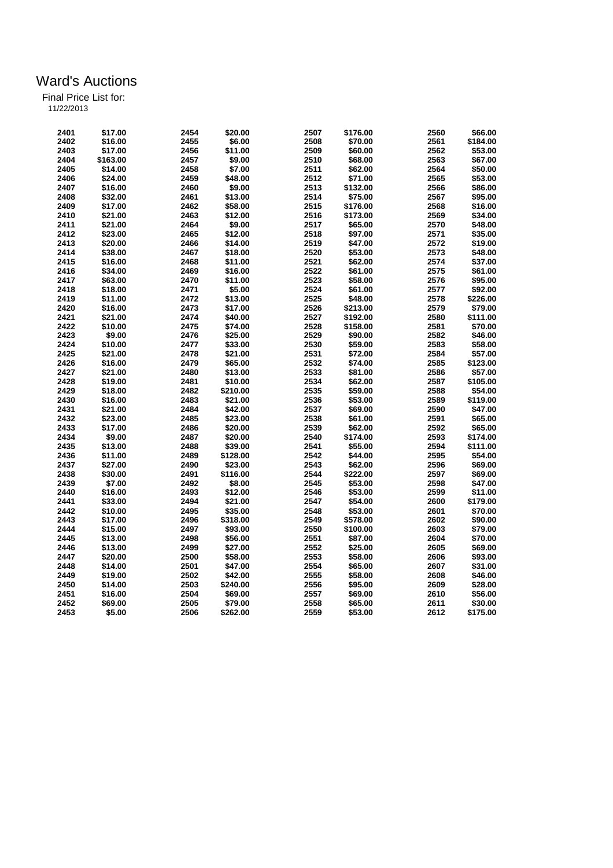| 2401 | \$17.00  | 2454 | \$20.00  | 2507 | \$176.00 | 2560 | \$66.00  |
|------|----------|------|----------|------|----------|------|----------|
| 2402 | \$16.00  | 2455 | \$6.00   | 2508 | \$70.00  | 2561 | \$184.00 |
| 2403 | \$17.00  | 2456 | \$11.00  | 2509 | \$60.00  | 2562 | \$53.00  |
| 2404 | \$163.00 | 2457 | \$9.00   | 2510 | \$68.00  | 2563 | \$67.00  |
| 2405 | \$14.00  | 2458 | \$7.00   | 2511 | \$62.00  | 2564 | \$50.00  |
| 2406 | \$24.00  | 2459 | \$48.00  | 2512 | \$71.00  | 2565 | \$53.00  |
| 2407 | \$16.00  | 2460 | \$9.00   | 2513 | \$132.00 | 2566 | \$86.00  |
| 2408 | \$32.00  | 2461 | \$13.00  | 2514 | \$75.00  | 2567 | \$95.00  |
| 2409 | \$17.00  | 2462 | \$58.00  | 2515 | \$176.00 | 2568 | \$16.00  |
| 2410 | \$21.00  | 2463 | \$12.00  | 2516 | \$173.00 | 2569 | \$34.00  |
| 2411 | \$21.00  | 2464 | \$9.00   | 2517 | \$65.00  | 2570 | \$48.00  |
| 2412 | \$23.00  | 2465 | \$12.00  | 2518 | \$97.00  | 2571 | \$35.00  |
| 2413 | \$20.00  | 2466 | \$14.00  | 2519 | \$47.00  | 2572 | \$19.00  |
| 2414 | \$38.00  | 2467 | \$18.00  | 2520 | \$53.00  | 2573 | \$48.00  |
| 2415 | \$16.00  | 2468 | \$11.00  | 2521 | \$62.00  | 2574 | \$37.00  |
| 2416 | \$34.00  | 2469 | \$16.00  | 2522 | \$61.00  | 2575 | \$61.00  |
| 2417 | \$63.00  | 2470 | \$11.00  | 2523 | \$58.00  | 2576 | \$95.00  |
| 2418 | \$18.00  | 2471 | \$5.00   | 2524 | \$61.00  | 2577 | \$92.00  |
| 2419 | \$11.00  | 2472 | \$13.00  | 2525 | \$48.00  | 2578 | \$226.00 |
| 2420 | \$16.00  | 2473 | \$17.00  | 2526 | \$213.00 | 2579 | \$79.00  |
| 2421 | \$21.00  | 2474 | \$40.00  | 2527 | \$192.00 | 2580 | \$111.00 |
| 2422 | \$10.00  | 2475 | \$74.00  | 2528 | \$158.00 | 2581 | \$70.00  |
| 2423 | \$9.00   | 2476 | \$25.00  | 2529 | \$90.00  | 2582 | \$46.00  |
|      |          |      |          |      |          |      |          |
| 2424 | \$10.00  | 2477 | \$33.00  | 2530 | \$59.00  | 2583 | \$58.00  |
| 2425 | \$21.00  | 2478 | \$21.00  | 2531 | \$72.00  | 2584 | \$57.00  |
| 2426 | \$16.00  | 2479 | \$65.00  | 2532 | \$74.00  | 2585 | \$123.00 |
| 2427 | \$21.00  | 2480 | \$13.00  | 2533 | \$81.00  | 2586 | \$57.00  |
| 2428 | \$19.00  | 2481 | \$10.00  | 2534 | \$62.00  | 2587 | \$105.00 |
| 2429 | \$18.00  | 2482 | \$210.00 | 2535 | \$59.00  | 2588 | \$54.00  |
| 2430 | \$16.00  | 2483 | \$21.00  | 2536 | \$53.00  | 2589 | \$119.00 |
| 2431 | \$21.00  | 2484 | \$42.00  | 2537 | \$69.00  | 2590 | \$47.00  |
| 2432 | \$23.00  | 2485 | \$23.00  | 2538 | \$61.00  | 2591 | \$65.00  |
| 2433 | \$17.00  | 2486 | \$20.00  | 2539 | \$62.00  | 2592 | \$65.00  |
| 2434 | \$9.00   | 2487 | \$20.00  | 2540 | \$174.00 | 2593 | \$174.00 |
| 2435 | \$13.00  | 2488 | \$39.00  | 2541 | \$55.00  | 2594 | \$111.00 |
| 2436 | \$11.00  | 2489 | \$128.00 | 2542 | \$44.00  | 2595 | \$54.00  |
| 2437 | \$27.00  | 2490 | \$23.00  | 2543 | \$62.00  | 2596 | \$69.00  |
| 2438 | \$30.00  | 2491 | \$116.00 | 2544 | \$222.00 | 2597 | \$69.00  |
| 2439 | \$7.00   | 2492 | \$8.00   | 2545 | \$53.00  | 2598 | \$47.00  |
| 2440 | \$16.00  | 2493 | \$12.00  | 2546 | \$53.00  | 2599 | \$11.00  |
| 2441 | \$33.00  | 2494 | \$21.00  | 2547 | \$54.00  | 2600 | \$179.00 |
| 2442 | \$10.00  | 2495 | \$35.00  | 2548 | \$53.00  | 2601 | \$70.00  |
| 2443 | \$17.00  | 2496 | \$318.00 | 2549 | \$578.00 | 2602 | \$90.00  |
| 2444 | \$15.00  | 2497 | \$93.00  | 2550 | \$100.00 | 2603 | \$79.00  |
| 2445 | \$13.00  | 2498 | \$56.00  | 2551 | \$87.00  | 2604 | \$70.00  |
| 2446 | \$13.00  | 2499 | \$27.00  | 2552 | \$25.00  | 2605 | \$69.00  |
| 2447 | \$20.00  | 2500 | \$58.00  | 2553 | \$58.00  | 2606 | \$93.00  |
| 2448 | \$14.00  | 2501 | \$47.00  | 2554 | \$65.00  | 2607 | \$31.00  |
| 2449 | \$19.00  | 2502 | \$42.00  | 2555 | \$58.00  | 2608 | \$46.00  |
| 2450 | \$14.00  | 2503 | \$240.00 | 2556 | \$95.00  | 2609 | \$28.00  |
| 2451 | \$16.00  | 2504 | \$69.00  | 2557 | \$69.00  | 2610 | \$56.00  |
| 2452 | \$69.00  | 2505 | \$79.00  | 2558 | \$65.00  | 2611 | \$30.00  |
| 2453 | \$5.00   | 2506 | \$262.00 | 2559 | \$53.00  | 2612 | \$175.00 |
|      |          |      |          |      |          |      |          |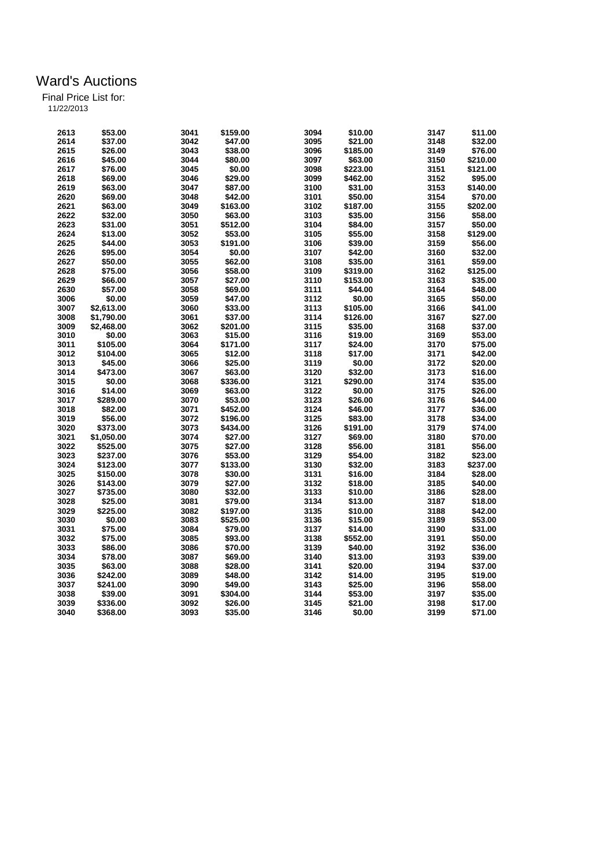| 2613 | \$53.00    | 3041 | \$159.00 | 3094 | \$10.00  | 3147 | \$11.00  |
|------|------------|------|----------|------|----------|------|----------|
| 2614 | \$37.00    | 3042 | \$47.00  | 3095 | \$21.00  | 3148 | \$32.00  |
| 2615 | \$26.00    | 3043 | \$38.00  | 3096 | \$185.00 | 3149 | \$76.00  |
| 2616 | \$45.00    | 3044 | \$80.00  | 3097 | \$63.00  | 3150 | \$210.00 |
| 2617 | \$76.00    | 3045 | \$0.00   | 3098 | \$223.00 | 3151 | \$121.00 |
| 2618 | \$69.00    | 3046 | \$29.00  | 3099 | \$462.00 | 3152 | \$95.00  |
| 2619 | \$63.00    | 3047 | \$87.00  | 3100 | \$31.00  | 3153 | \$140.00 |
| 2620 | \$69.00    | 3048 | \$42.00  | 3101 | \$50.00  | 3154 | \$70.00  |
| 2621 | \$63.00    | 3049 | \$163.00 | 3102 | \$187.00 | 3155 | \$202.00 |
| 2622 | \$32.00    | 3050 | \$63.00  | 3103 | \$35.00  | 3156 | \$58.00  |
| 2623 | \$31.00    | 3051 | \$512.00 | 3104 | \$84.00  | 3157 | \$50.00  |
|      |            |      |          | 3105 |          |      |          |
| 2624 | \$13.00    | 3052 | \$53.00  |      | \$55.00  | 3158 | \$129.00 |
| 2625 | \$44.00    | 3053 | \$191.00 | 3106 | \$39.00  | 3159 | \$56.00  |
| 2626 | \$95.00    | 3054 | \$0.00   | 3107 | \$42.00  | 3160 | \$32.00  |
| 2627 | \$50.00    | 3055 | \$62.00  | 3108 | \$35.00  | 3161 | \$59.00  |
| 2628 | \$75.00    | 3056 | \$58.00  | 3109 | \$319.00 | 3162 | \$125.00 |
| 2629 | \$66.00    | 3057 | \$27.00  | 3110 | \$153.00 | 3163 | \$35.00  |
| 2630 | \$57.00    | 3058 | \$69.00  | 3111 | \$44.00  | 3164 | \$48.00  |
| 3006 | \$0.00     | 3059 | \$47.00  | 3112 | \$0.00   | 3165 | \$50.00  |
| 3007 | \$2,613.00 | 3060 | \$33.00  | 3113 | \$105.00 | 3166 | \$41.00  |
| 3008 | \$1,790.00 | 3061 | \$37.00  | 3114 | \$126.00 | 3167 | \$27.00  |
| 3009 | \$2,468.00 | 3062 | \$201.00 | 3115 | \$35.00  | 3168 | \$37.00  |
| 3010 | \$0.00     | 3063 | \$15.00  | 3116 | \$19.00  | 3169 | \$53.00  |
| 3011 | \$105.00   | 3064 | \$171.00 | 3117 | \$24.00  | 3170 | \$75.00  |
|      |            |      |          |      |          |      |          |
| 3012 | \$104.00   | 3065 | \$12.00  | 3118 | \$17.00  | 3171 | \$42.00  |
| 3013 | \$45.00    | 3066 | \$25.00  | 3119 | \$0.00   | 3172 | \$20.00  |
| 3014 | \$473.00   | 3067 | \$63.00  | 3120 | \$32.00  | 3173 | \$16.00  |
| 3015 | \$0.00     | 3068 | \$336.00 | 3121 | \$290.00 | 3174 | \$35.00  |
| 3016 | \$14.00    | 3069 | \$63.00  | 3122 | \$0.00   | 3175 | \$26.00  |
| 3017 | \$289.00   | 3070 | \$53.00  | 3123 | \$26.00  | 3176 | \$44.00  |
| 3018 | \$82.00    | 3071 | \$452.00 | 3124 | \$46.00  | 3177 | \$36.00  |
| 3019 | \$56.00    | 3072 | \$196.00 | 3125 | \$83.00  | 3178 | \$34.00  |
| 3020 | \$373.00   | 3073 | \$434.00 | 3126 | \$191.00 | 3179 | \$74.00  |
| 3021 | \$1,050.00 | 3074 | \$27.00  | 3127 | \$69.00  | 3180 | \$70.00  |
| 3022 | \$525.00   | 3075 | \$27.00  | 3128 | \$56.00  | 3181 | \$56.00  |
| 3023 | \$237.00   | 3076 | \$53.00  | 3129 | \$54.00  | 3182 | \$23.00  |
| 3024 | \$123.00   | 3077 | \$133.00 | 3130 | \$32.00  | 3183 | \$237.00 |
| 3025 | \$150.00   | 3078 | \$30.00  | 3131 | \$16.00  | 3184 | \$28.00  |
| 3026 | \$143.00   | 3079 | \$27.00  | 3132 | \$18.00  | 3185 | \$40.00  |
| 3027 | \$735.00   | 3080 | \$32.00  | 3133 | \$10.00  | 3186 | \$28.00  |
| 3028 | \$25.00    | 3081 | \$79.00  | 3134 | \$13.00  | 3187 | \$18.00  |
| 3029 | \$225.00   | 3082 | \$197.00 | 3135 | \$10.00  | 3188 | \$42.00  |
| 3030 |            |      |          | 3136 |          |      |          |
|      | \$0.00     | 3083 | \$525.00 |      | \$15.00  | 3189 | \$53.00  |
| 3031 | \$75.00    | 3084 | \$79.00  | 3137 | \$14.00  | 3190 | \$31.00  |
| 3032 | \$75.00    | 3085 | \$93.00  | 3138 | \$552.00 | 3191 | \$50.00  |
| 3033 | \$86.00    | 3086 | \$70.00  | 3139 | \$40.00  | 3192 | \$36.00  |
| 3034 | \$78.00    | 3087 | \$69.00  | 3140 | \$13.00  | 3193 | \$39.00  |
| 3035 | \$63.00    | 3088 | \$28.00  | 3141 | \$20.00  | 3194 | \$37.00  |
| 3036 | \$242.00   | 3089 | \$48.00  | 3142 | \$14.00  | 3195 | \$19.00  |
| 3037 | \$241.00   | 3090 | \$49.00  | 3143 | \$25.00  | 3196 | \$58.00  |
| 3038 | \$39.00    | 3091 | \$304.00 | 3144 | \$53.00  | 3197 | \$35.00  |
| 3039 | \$336.00   | 3092 | \$26.00  | 3145 | \$21.00  | 3198 | \$17.00  |
| 3040 | \$368.00   | 3093 | \$35.00  | 3146 | \$0.00   | 3199 | \$71.00  |
|      |            |      |          |      |          |      |          |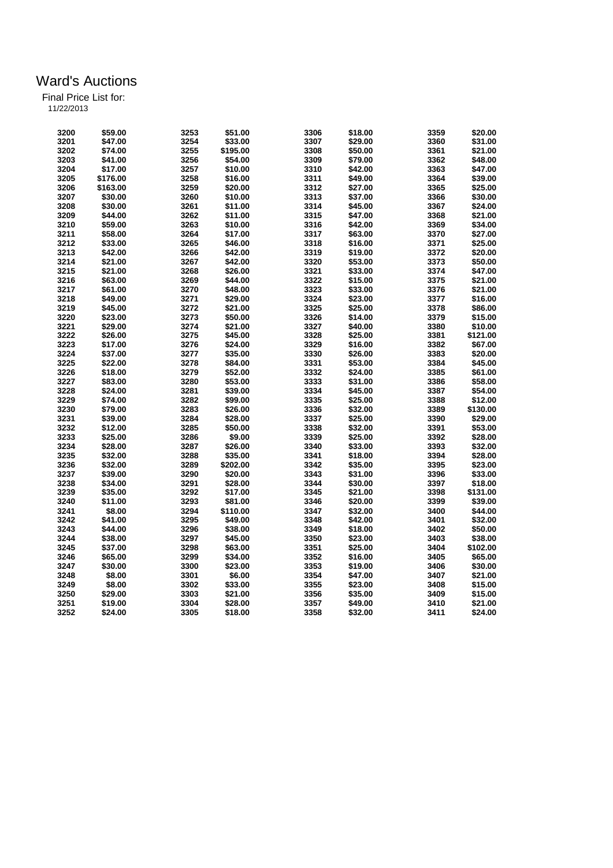|  | 11/22/2013 |
|--|------------|

| 3200 | \$59.00  | 3253 | \$51.00  | 3306 | \$18.00 | 3359 | \$20.00  |
|------|----------|------|----------|------|---------|------|----------|
| 3201 | \$47.00  | 3254 | \$33.00  | 3307 | \$29.00 | 3360 | \$31.00  |
| 3202 | \$74.00  | 3255 | \$195.00 | 3308 | \$50.00 | 3361 | \$21.00  |
| 3203 | \$41.00  | 3256 | \$54.00  | 3309 | \$79.00 | 3362 | \$48.00  |
| 3204 | \$17.00  | 3257 | \$10.00  | 3310 | \$42.00 | 3363 | \$47.00  |
| 3205 | \$176.00 | 3258 | \$16.00  | 3311 | \$49.00 | 3364 | \$39.00  |
| 3206 | \$163.00 | 3259 | \$20.00  | 3312 | \$27.00 | 3365 | \$25.00  |
| 3207 | \$30.00  | 3260 | \$10.00  | 3313 | \$37.00 | 3366 | \$30.00  |
| 3208 | \$30.00  | 3261 | \$11.00  | 3314 | \$45.00 | 3367 | \$24.00  |
| 3209 | \$44.00  | 3262 | \$11.00  | 3315 | \$47.00 | 3368 | \$21.00  |
| 3210 | \$59.00  | 3263 | \$10.00  | 3316 | \$42.00 | 3369 | \$34.00  |
| 3211 | \$58.00  | 3264 | \$17.00  | 3317 | \$63.00 | 3370 | \$27.00  |
| 3212 | \$33.00  | 3265 | \$46.00  | 3318 |         | 3371 | \$25.00  |
|      |          |      |          |      | \$16.00 |      |          |
| 3213 | \$42.00  | 3266 | \$42.00  | 3319 | \$19.00 | 3372 | \$20.00  |
| 3214 | \$21.00  | 3267 | \$42.00  | 3320 | \$53.00 | 3373 | \$50.00  |
| 3215 | \$21.00  | 3268 | \$26.00  | 3321 | \$33.00 | 3374 | \$47.00  |
| 3216 | \$63.00  | 3269 | \$44.00  | 3322 | \$15.00 | 3375 | \$21.00  |
| 3217 | \$61.00  | 3270 | \$48.00  | 3323 | \$33.00 | 3376 | \$21.00  |
| 3218 | \$49.00  | 3271 | \$29.00  | 3324 | \$23.00 | 3377 | \$16.00  |
| 3219 | \$45.00  | 3272 | \$21.00  | 3325 | \$25.00 | 3378 | \$86.00  |
| 3220 | \$23.00  | 3273 | \$50.00  | 3326 | \$14.00 | 3379 | \$15.00  |
| 3221 | \$29.00  | 3274 | \$21.00  | 3327 | \$40.00 | 3380 | \$10.00  |
| 3222 | \$26.00  | 3275 | \$45.00  | 3328 | \$25.00 | 3381 | \$121.00 |
| 3223 | \$17.00  | 3276 | \$24.00  | 3329 | \$16.00 | 3382 | \$67.00  |
| 3224 | \$37.00  | 3277 | \$35.00  | 3330 | \$26.00 | 3383 | \$20.00  |
| 3225 | \$22.00  | 3278 | \$84.00  | 3331 | \$53.00 | 3384 | \$45.00  |
| 3226 | \$18.00  | 3279 | \$52.00  | 3332 | \$24.00 | 3385 | \$61.00  |
| 3227 | \$83.00  | 3280 | \$53.00  | 3333 | \$31.00 | 3386 | \$58.00  |
| 3228 | \$24.00  | 3281 | \$39.00  | 3334 | \$45.00 | 3387 | \$54.00  |
| 3229 | \$74.00  | 3282 | \$99.00  | 3335 | \$25.00 | 3388 | \$12.00  |
| 3230 | \$79.00  | 3283 | \$26.00  | 3336 | \$32.00 | 3389 | \$130.00 |
| 3231 | \$39.00  | 3284 | \$28.00  | 3337 | \$25.00 | 3390 | \$29.00  |
| 3232 | \$12.00  | 3285 | \$50.00  | 3338 | \$32.00 | 3391 | \$53.00  |
| 3233 | \$25.00  | 3286 | \$9.00   | 3339 | \$25.00 | 3392 | \$28.00  |
| 3234 | \$28.00  | 3287 | \$26.00  | 3340 | \$33.00 | 3393 | \$32.00  |
| 3235 | \$32.00  | 3288 | \$35.00  | 3341 | \$18.00 | 3394 | \$28.00  |
| 3236 | \$32.00  | 3289 | \$202.00 | 3342 | \$35.00 | 3395 | \$23.00  |
| 3237 | \$39.00  | 3290 | \$20.00  | 3343 | \$31.00 | 3396 | \$33.00  |
| 3238 | \$34.00  |      | \$28.00  | 3344 |         | 3397 | \$18.00  |
|      |          | 3291 |          |      | \$30.00 |      |          |
| 3239 | \$35.00  | 3292 | \$17.00  | 3345 | \$21.00 | 3398 | \$131.00 |
| 3240 | \$11.00  | 3293 | \$81.00  | 3346 | \$20.00 | 3399 | \$39.00  |
| 3241 | \$8.00   | 3294 | \$110.00 | 3347 | \$32.00 | 3400 | \$44.00  |
| 3242 | \$41.00  | 3295 | \$49.00  | 3348 | \$42.00 | 3401 | \$32.00  |
| 3243 | \$44.00  | 3296 | \$38.00  | 3349 | \$18.00 | 3402 | \$50.00  |
| 3244 | \$38.00  | 3297 | \$45.00  | 3350 | \$23.00 | 3403 | \$38.00  |
| 3245 | \$37.00  | 3298 | \$63.00  | 3351 | \$25.00 | 3404 | \$102.00 |
| 3246 | \$65.00  | 3299 | \$34.00  | 3352 | \$16.00 | 3405 | \$65.00  |
| 3247 | \$30.00  | 3300 | \$23.00  | 3353 | \$19.00 | 3406 | \$30.00  |
| 3248 | \$8.00   | 3301 | \$6.00   | 3354 | \$47.00 | 3407 | \$21.00  |
| 3249 | \$8.00   | 3302 | \$33.00  | 3355 | \$23.00 | 3408 | \$15.00  |
| 3250 | \$29.00  | 3303 | \$21.00  | 3356 | \$35.00 | 3409 | \$15.00  |
| 3251 | \$19.00  | 3304 | \$28.00  | 3357 | \$49.00 | 3410 | \$21.00  |
| 3252 | \$24.00  | 3305 | \$18.00  | 3358 | \$32.00 | 3411 | \$24.00  |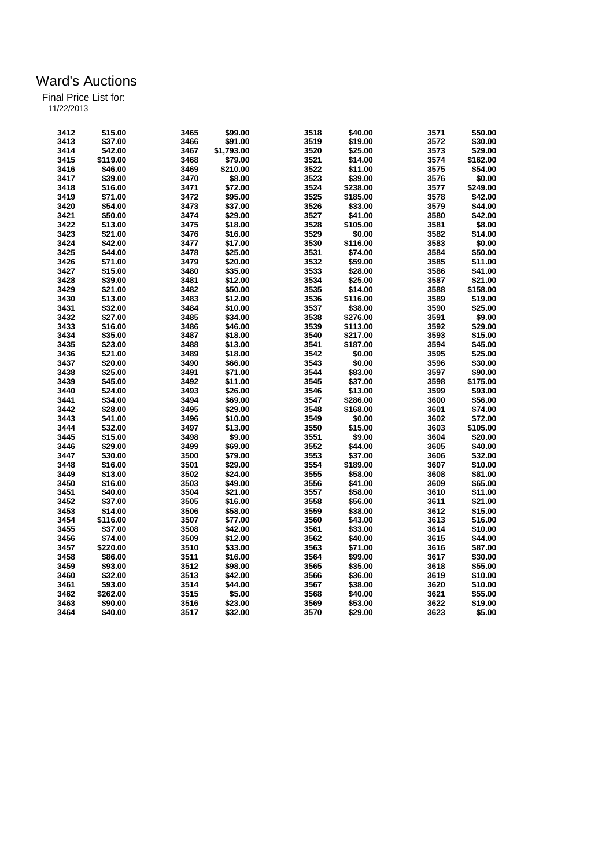|  | 11/22/2013 |  |  |
|--|------------|--|--|
|  |            |  |  |

| 3412 | \$15.00  | 3465 | \$99.00    | 3518 | \$40.00  | 3571 | \$50.00  |
|------|----------|------|------------|------|----------|------|----------|
| 3413 | \$37.00  | 3466 | \$91.00    | 3519 | \$19.00  | 3572 | \$30.00  |
| 3414 | \$42.00  | 3467 | \$1,793.00 | 3520 | \$25.00  | 3573 | \$29.00  |
| 3415 | \$119.00 | 3468 | \$79.00    | 3521 | \$14.00  | 3574 | \$162.00 |
| 3416 | \$46.00  | 3469 | \$210.00   | 3522 | \$11.00  | 3575 | \$54.00  |
| 3417 | \$39.00  | 3470 | \$8.00     | 3523 | \$39.00  | 3576 | \$0.00   |
| 3418 | \$16.00  | 3471 | \$72.00    | 3524 | \$238.00 | 3577 | \$249.00 |
| 3419 | \$71.00  | 3472 | \$95.00    | 3525 | \$185.00 | 3578 | \$42.00  |
| 3420 | \$54.00  | 3473 | \$37.00    | 3526 | \$33.00  | 3579 | \$44.00  |
| 3421 | \$50.00  | 3474 | \$29.00    | 3527 | \$41.00  | 3580 | \$42.00  |
| 3422 | \$13.00  | 3475 | \$18.00    | 3528 | \$105.00 | 3581 | \$8.00   |
| 3423 | \$21.00  | 3476 | \$16.00    | 3529 | \$0.00   | 3582 | \$14.00  |
| 3424 | \$42.00  | 3477 | \$17.00    | 3530 | \$116.00 | 3583 | \$0.00   |
| 3425 | \$44.00  | 3478 | \$25.00    | 3531 | \$74.00  | 3584 | \$50.00  |
| 3426 | \$71.00  | 3479 | \$20.00    | 3532 | \$59.00  | 3585 | \$11.00  |
| 3427 | \$15.00  | 3480 | \$35.00    | 3533 | \$28.00  | 3586 | \$41.00  |
| 3428 | \$39.00  | 3481 | \$12.00    | 3534 | \$25.00  | 3587 | \$21.00  |
| 3429 | \$21.00  | 3482 | \$50.00    | 3535 | \$14.00  | 3588 | \$158.00 |
| 3430 | \$13.00  | 3483 | \$12.00    | 3536 | \$116.00 | 3589 | \$19.00  |
| 3431 | \$32.00  | 3484 | \$10.00    | 3537 | \$38.00  | 3590 | \$25.00  |
| 3432 | \$27.00  | 3485 | \$34.00    | 3538 | \$276.00 | 3591 | \$9.00   |
| 3433 | \$16.00  | 3486 | \$46.00    | 3539 | \$113.00 | 3592 | \$29.00  |
| 3434 | \$35.00  | 3487 | \$18.00    | 3540 | \$217.00 | 3593 | \$15.00  |
| 3435 | \$23.00  | 3488 | \$13.00    | 3541 | \$187.00 | 3594 | \$45.00  |
| 3436 | \$21.00  | 3489 | \$18.00    | 3542 | \$0.00   | 3595 | \$25.00  |
| 3437 | \$20.00  | 3490 | \$66.00    | 3543 | \$0.00   | 3596 | \$30.00  |
| 3438 | \$25.00  | 3491 | \$71.00    | 3544 | \$83.00  | 3597 | \$90.00  |
| 3439 | \$45.00  | 3492 | \$11.00    | 3545 | \$37.00  | 3598 | \$175.00 |
| 3440 | \$24.00  | 3493 | \$26.00    | 3546 | \$13.00  | 3599 | \$93.00  |
| 3441 | \$34.00  | 3494 | \$69.00    | 3547 | \$286.00 | 3600 | \$56.00  |
| 3442 | \$28.00  | 3495 | \$29.00    | 3548 | \$168.00 | 3601 | \$74.00  |
| 3443 | \$41.00  | 3496 | \$10.00    | 3549 | \$0.00   | 3602 | \$72.00  |
| 3444 | \$32.00  | 3497 | \$13.00    | 3550 | \$15.00  | 3603 | \$105.00 |
| 3445 | \$15.00  | 3498 | \$9.00     | 3551 | \$9.00   | 3604 | \$20.00  |
| 3446 | \$29.00  | 3499 | \$69.00    | 3552 | \$44.00  | 3605 | \$40.00  |
| 3447 | \$30.00  | 3500 | \$79.00    | 3553 | \$37.00  | 3606 | \$32.00  |
| 3448 | \$16.00  | 3501 | \$29.00    | 3554 | \$189.00 | 3607 | \$10.00  |
| 3449 | \$13.00  | 3502 | \$24.00    | 3555 | \$58.00  | 3608 | \$81.00  |
| 3450 | \$16.00  | 3503 | \$49.00    | 3556 | \$41.00  | 3609 | \$65.00  |
| 3451 | \$40.00  | 3504 | \$21.00    | 3557 | \$58.00  | 3610 | \$11.00  |
| 3452 | \$37.00  | 3505 | \$16.00    | 3558 | \$56.00  | 3611 | \$21.00  |
| 3453 | \$14.00  | 3506 | \$58.00    | 3559 | \$38.00  | 3612 | \$15.00  |
| 3454 | \$116.00 | 3507 | \$77.00    | 3560 | \$43.00  | 3613 | \$16.00  |
| 3455 | \$37.00  | 3508 | \$42.00    | 3561 | \$33.00  | 3614 | \$10.00  |
| 3456 | \$74.00  | 3509 | \$12.00    | 3562 | \$40.00  | 3615 | \$44.00  |
| 3457 | \$220.00 | 3510 | \$33.00    | 3563 | \$71.00  | 3616 | \$87.00  |
| 3458 | \$86.00  | 3511 | \$16.00    | 3564 | \$99.00  | 3617 | \$30.00  |
| 3459 | \$93.00  | 3512 | \$98.00    | 3565 | \$35.00  | 3618 | \$55.00  |
| 3460 | \$32.00  | 3513 | \$42.00    | 3566 | \$36.00  | 3619 | \$10.00  |
| 3461 | \$93.00  | 3514 | \$44.00    | 3567 | \$38.00  | 3620 | \$10.00  |
| 3462 | \$262.00 | 3515 | \$5.00     | 3568 | \$40.00  | 3621 | \$55.00  |
| 3463 | \$90.00  | 3516 | \$23.00    | 3569 | \$53.00  | 3622 | \$19.00  |
| 3464 | \$40.00  | 3517 | \$32.00    | 3570 | \$29.00  | 3623 | \$5.00   |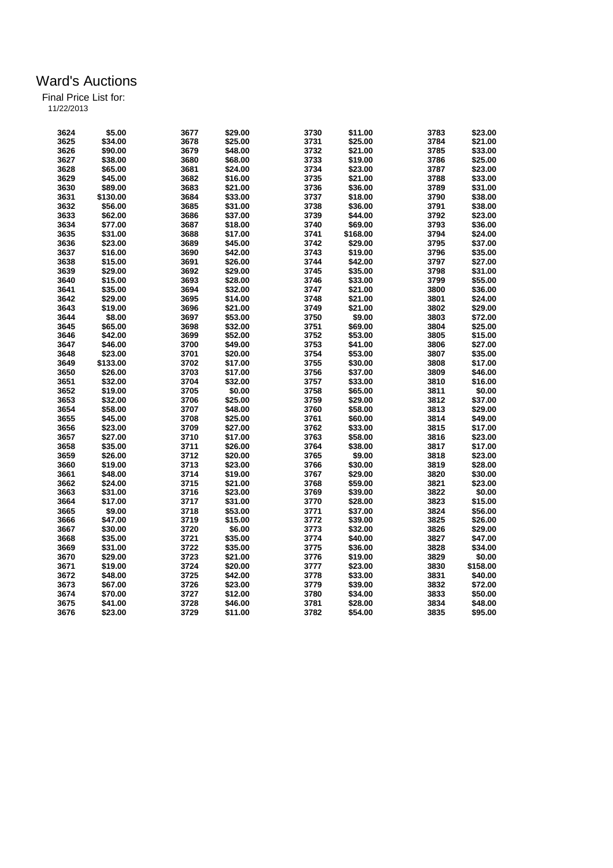| 3624 | \$5.00   | 3677 | \$29.00 | 3730 | \$11.00  | 3783 | \$23.00  |
|------|----------|------|---------|------|----------|------|----------|
| 3625 | \$34.00  | 3678 | \$25.00 | 3731 | \$25.00  | 3784 | \$21.00  |
| 3626 | \$90.00  | 3679 | \$48.00 | 3732 | \$21.00  | 3785 | \$33.00  |
| 3627 | \$38.00  | 3680 | \$68.00 | 3733 | \$19.00  | 3786 | \$25.00  |
| 3628 | \$65.00  | 3681 | \$24.00 | 3734 | \$23.00  | 3787 | \$23.00  |
| 3629 | \$45.00  | 3682 | \$16.00 | 3735 | \$21.00  | 3788 | \$33.00  |
| 3630 | \$89.00  | 3683 | \$21.00 | 3736 | \$36.00  | 3789 | \$31.00  |
| 3631 | \$130.00 | 3684 | \$33.00 | 3737 | \$18.00  | 3790 | \$38.00  |
| 3632 | \$56.00  | 3685 | \$31.00 | 3738 | \$36.00  | 3791 | \$38.00  |
| 3633 | \$62.00  | 3686 | \$37.00 | 3739 | \$44.00  | 3792 | \$23.00  |
| 3634 | \$77.00  | 3687 | \$18.00 | 3740 | \$69.00  | 3793 | \$36.00  |
| 3635 | \$31.00  | 3688 | \$17.00 | 3741 | \$168.00 | 3794 | \$24.00  |
| 3636 | \$23.00  | 3689 | \$45.00 | 3742 | \$29.00  | 3795 | \$37.00  |
| 3637 | \$16.00  | 3690 | \$42.00 | 3743 | \$19.00  | 3796 | \$35.00  |
| 3638 | \$15.00  | 3691 | \$26.00 | 3744 | \$42.00  | 3797 | \$27.00  |
| 3639 | \$29.00  | 3692 | \$29.00 | 3745 | \$35.00  | 3798 | \$31.00  |
| 3640 | \$15.00  | 3693 | \$28.00 | 3746 | \$33.00  | 3799 | \$55.00  |
| 3641 | \$35.00  | 3694 | \$32.00 | 3747 | \$21.00  | 3800 | \$36.00  |
|      |          |      |         | 3748 |          |      |          |
| 3642 | \$29.00  | 3695 | \$14.00 |      | \$21.00  | 3801 | \$24.00  |
| 3643 | \$19.00  | 3696 | \$21.00 | 3749 | \$21.00  | 3802 | \$29.00  |
| 3644 | \$8.00   | 3697 | \$53.00 | 3750 | \$9.00   | 3803 | \$72.00  |
| 3645 | \$65.00  | 3698 | \$32.00 | 3751 | \$69.00  | 3804 | \$25.00  |
| 3646 | \$42.00  | 3699 | \$52.00 | 3752 | \$53.00  | 3805 | \$15.00  |
| 3647 | \$46.00  | 3700 | \$49.00 | 3753 | \$41.00  | 3806 | \$27.00  |
| 3648 | \$23.00  | 3701 | \$20.00 | 3754 | \$53.00  | 3807 | \$35.00  |
| 3649 | \$133.00 | 3702 | \$17.00 | 3755 | \$30.00  | 3808 | \$17.00  |
| 3650 | \$26.00  | 3703 | \$17.00 | 3756 | \$37.00  | 3809 | \$46.00  |
| 3651 | \$32.00  | 3704 | \$32.00 | 3757 | \$33.00  | 3810 | \$16.00  |
| 3652 | \$19.00  | 3705 | \$0.00  | 3758 | \$65.00  | 3811 | \$0.00   |
| 3653 | \$32.00  | 3706 | \$25.00 | 3759 | \$29.00  | 3812 | \$37.00  |
| 3654 | \$58.00  | 3707 | \$48.00 | 3760 | \$58.00  | 3813 | \$29.00  |
| 3655 | \$45.00  | 3708 | \$25.00 | 3761 | \$60.00  | 3814 | \$49.00  |
| 3656 | \$23.00  | 3709 | \$27.00 | 3762 | \$33.00  | 3815 | \$17.00  |
| 3657 | \$27.00  | 3710 | \$17.00 | 3763 | \$58.00  | 3816 | \$23.00  |
| 3658 | \$35.00  | 3711 | \$26.00 | 3764 | \$38.00  | 3817 | \$17.00  |
| 3659 | \$26.00  | 3712 | \$20.00 | 3765 | \$9.00   | 3818 | \$23.00  |
| 3660 | \$19.00  | 3713 | \$23.00 | 3766 | \$30.00  | 3819 | \$28.00  |
| 3661 | \$48.00  | 3714 | \$19.00 | 3767 | \$29.00  | 3820 | \$30.00  |
| 3662 | \$24.00  | 3715 | \$21.00 | 3768 | \$59.00  | 3821 | \$23.00  |
| 3663 | \$31.00  | 3716 | \$23.00 | 3769 | \$39.00  | 3822 | \$0.00   |
| 3664 | \$17.00  | 3717 | \$31.00 | 3770 | \$28.00  | 3823 | \$15.00  |
| 3665 | \$9.00   | 3718 | \$53.00 | 3771 | \$37.00  | 3824 | \$56.00  |
| 3666 | \$47.00  | 3719 | \$15.00 | 3772 | \$39.00  | 3825 | \$26.00  |
| 3667 | \$30.00  | 3720 | \$6.00  | 3773 | \$32.00  | 3826 | \$29.00  |
| 3668 | \$35.00  | 3721 | \$35.00 | 3774 | \$40.00  | 3827 | \$47.00  |
| 3669 | \$31.00  | 3722 | \$35.00 | 3775 | \$36.00  | 3828 | \$34.00  |
| 3670 | \$29.00  | 3723 | \$21.00 | 3776 | \$19.00  | 3829 | \$0.00   |
| 3671 | \$19.00  | 3724 | \$20.00 | 3777 | \$23.00  | 3830 | \$158.00 |
| 3672 | \$48.00  | 3725 | \$42.00 | 3778 | \$33.00  | 3831 | \$40.00  |
| 3673 | \$67.00  | 3726 | \$23.00 | 3779 | \$39.00  | 3832 | \$72.00  |
| 3674 | \$70.00  | 3727 | \$12.00 | 3780 | \$34.00  | 3833 | \$50.00  |
| 3675 | \$41.00  | 3728 | \$46.00 | 3781 | \$28.00  | 3834 | \$48.00  |
| 3676 | \$23.00  | 3729 | \$11.00 | 3782 | \$54.00  | 3835 | \$95.00  |
|      |          |      |         |      |          |      |          |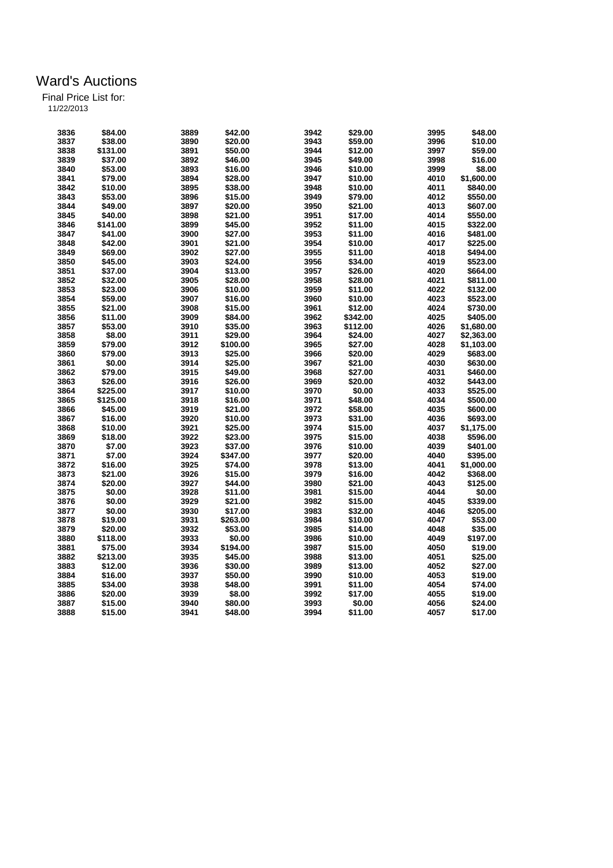| 3836 | \$84.00  | 3889 | \$42.00  | 3942         | \$29.00  | 3995 | \$48.00    |
|------|----------|------|----------|--------------|----------|------|------------|
| 3837 | \$38.00  | 3890 | \$20.00  | 3943         | \$59.00  | 3996 | \$10.00    |
| 3838 | \$131.00 | 3891 | \$50.00  | 3944         | \$12.00  | 3997 | \$59.00    |
| 3839 | \$37.00  | 3892 | \$46.00  | 3945         | \$49.00  | 3998 | \$16.00    |
| 3840 | \$53.00  | 3893 | \$16.00  | 3946         | \$10.00  | 3999 | \$8.00     |
| 3841 | \$79.00  | 3894 | \$28.00  | 3947         | \$10.00  | 4010 | \$1,600.00 |
| 3842 | \$10.00  | 3895 | \$38.00  | 3948         | \$10.00  | 4011 | \$840.00   |
| 3843 | \$53.00  | 3896 | \$15.00  | 3949         | \$79.00  | 4012 | \$550.00   |
| 3844 | \$49.00  | 3897 | \$20.00  | 3950         | \$21.00  | 4013 | \$607.00   |
| 3845 | \$40.00  | 3898 | \$21.00  | 3951         | \$17.00  | 4014 | \$550.00   |
| 3846 | \$141.00 | 3899 | \$45.00  | 3952         | \$11.00  | 4015 | \$322.00   |
| 3847 | \$41.00  | 3900 | \$27.00  | 3953         | \$11.00  | 4016 | \$481.00   |
| 3848 | \$42.00  | 3901 | \$21.00  | 3954         | \$10.00  | 4017 | \$225.00   |
| 3849 | \$69.00  | 3902 | \$27.00  | 3955         | \$11.00  | 4018 | \$494.00   |
| 3850 | \$45.00  | 3903 | \$24.00  | 3956         | \$34.00  | 4019 | \$523.00   |
| 3851 | \$37.00  | 3904 | \$13.00  | 3957         | \$26.00  | 4020 | \$664.00   |
| 3852 | \$32.00  | 3905 | \$28.00  | 3958         | \$28.00  | 4021 | \$811.00   |
| 3853 | \$23.00  | 3906 | \$10.00  | 3959         | \$11.00  | 4022 | \$132.00   |
| 3854 | \$59.00  | 3907 | \$16.00  | 3960         | \$10.00  | 4023 | \$523.00   |
| 3855 | \$21.00  | 3908 | \$15.00  | 3961         | \$12.00  | 4024 | \$730.00   |
| 3856 | \$11.00  | 3909 | \$84.00  | 3962         | \$342.00 | 4025 | \$405.00   |
| 3857 | \$53.00  | 3910 | \$35.00  | 3963         | \$112.00 | 4026 | \$1,680.00 |
| 3858 | \$8.00   | 3911 | \$29.00  | 3964         | \$24.00  | 4027 | \$2,363.00 |
| 3859 | \$79.00  | 3912 | \$100.00 | 3965         | \$27.00  | 4028 | \$1,103.00 |
| 3860 | \$79.00  | 3913 | \$25.00  | 3966         | \$20.00  | 4029 | \$683.00   |
| 3861 | \$0.00   | 3914 | \$25.00  | 3967         | \$21.00  | 4030 | \$630.00   |
| 3862 | \$79.00  | 3915 | \$49.00  | 3968         | \$27.00  | 4031 | \$460.00   |
| 3863 | \$26.00  | 3916 | \$26.00  | 3969         | \$20.00  | 4032 | \$443.00   |
| 3864 | \$225.00 | 3917 | \$10.00  | 3970         | \$0.00   | 4033 | \$525.00   |
| 3865 | \$125.00 | 3918 | \$16.00  | 3971         | \$48.00  | 4034 | \$500.00   |
| 3866 | \$45.00  | 3919 | \$21.00  | 3972         | \$58.00  | 4035 | \$600.00   |
| 3867 | \$16.00  | 3920 | \$10.00  | 3973         | \$31.00  | 4036 | \$693.00   |
| 3868 | \$10.00  | 3921 | \$25.00  | 3974         | \$15.00  | 4037 | \$1,175.00 |
| 3869 | \$18.00  | 3922 | \$23.00  | 3975         | \$15.00  | 4038 | \$596.00   |
| 3870 | \$7.00   | 3923 | \$37.00  | 3976         | \$10.00  | 4039 | \$401.00   |
| 3871 | \$7.00   | 3924 | \$347.00 | 3977         | \$20.00  | 4040 | \$395.00   |
| 3872 | \$16.00  | 3925 | \$74.00  | 3978         | \$13.00  | 4041 | \$1,000.00 |
| 3873 | \$21.00  | 3926 | \$15.00  | 3979         | \$16.00  | 4042 | \$368.00   |
| 3874 | \$20.00  | 3927 | \$44.00  | 3980         | \$21.00  | 4043 | \$125.00   |
| 3875 | \$0.00   | 3928 | \$11.00  | 3981         | \$15.00  | 4044 | \$0.00     |
|      |          |      |          | 3982         |          |      |            |
| 3876 | \$0.00   | 3929 | \$21.00  |              | \$15.00  | 4045 | \$339.00   |
| 3877 | \$0.00   | 3930 | \$17.00  | 3983<br>3984 | \$32.00  | 4046 | \$205.00   |
| 3878 | \$19.00  | 3931 | \$263.00 |              | \$10.00  | 4047 | \$53.00    |
| 3879 | \$20.00  | 3932 | \$53.00  | 3985         | \$14.00  | 4048 | \$35.00    |
| 3880 | \$118.00 | 3933 | \$0.00   | 3986         | \$10.00  | 4049 | \$197.00   |
| 3881 | \$75.00  | 3934 | \$194.00 | 3987         | \$15.00  | 4050 | \$19.00    |
| 3882 | \$213.00 | 3935 | \$45.00  | 3988         | \$13.00  | 4051 | \$25.00    |
| 3883 | \$12.00  | 3936 | \$30.00  | 3989         | \$13.00  | 4052 | \$27.00    |
| 3884 | \$16.00  | 3937 | \$50.00  | 3990         | \$10.00  | 4053 | \$19.00    |
| 3885 | \$34.00  | 3938 | \$48.00  | 3991         | \$11.00  | 4054 | \$74.00    |
| 3886 | \$20.00  | 3939 | \$8.00   | 3992         | \$17.00  | 4055 | \$19.00    |
| 3887 | \$15.00  | 3940 | \$80.00  | 3993         | \$0.00   | 4056 | \$24.00    |
| 3888 | \$15.00  | 3941 | \$48.00  | 3994         | \$11.00  | 4057 | \$17.00    |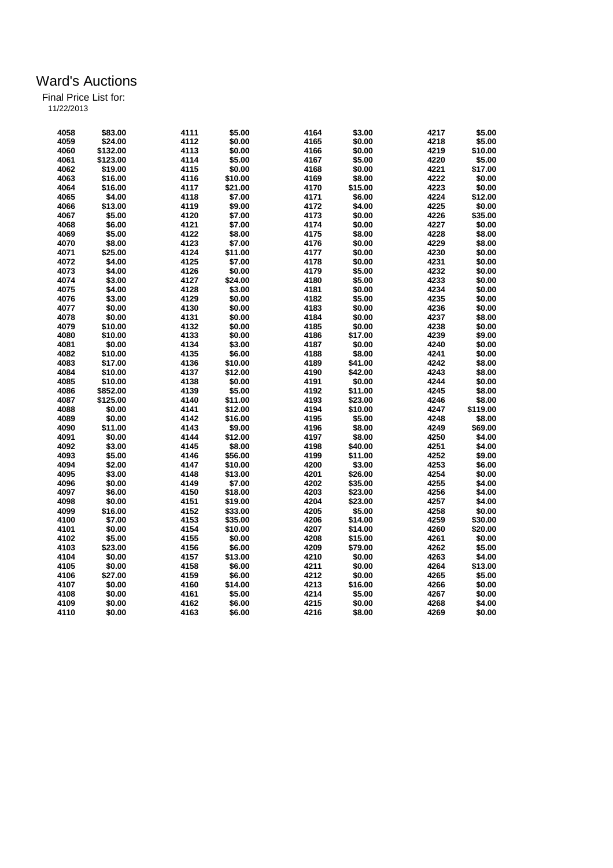Final Price List for:

11/22/2013

| 4058 | \$83.00  | 4111 | \$5.00  | 4164 | \$3.00  | 4217 | \$5.00   |
|------|----------|------|---------|------|---------|------|----------|
| 4059 | \$24.00  | 4112 | \$0.00  | 4165 | \$0.00  | 4218 | \$5.00   |
| 4060 | \$132.00 | 4113 | \$0.00  | 4166 | \$0.00  | 4219 | \$10.00  |
| 4061 | \$123.00 | 4114 | \$5.00  | 4167 | \$5.00  | 4220 | \$5.00   |
| 4062 | \$19.00  | 4115 | \$0.00  | 4168 | \$0.00  | 4221 | \$17.00  |
| 4063 | \$16.00  | 4116 | \$10.00 | 4169 | \$8.00  | 4222 | \$0.00   |
|      |          |      |         | 4170 |         |      |          |
| 4064 | \$16.00  | 4117 | \$21.00 |      | \$15.00 | 4223 | \$0.00   |
| 4065 | \$4.00   | 4118 | \$7.00  | 4171 | \$6.00  | 4224 | \$12.00  |
| 4066 | \$13.00  | 4119 | \$9.00  | 4172 | \$4.00  | 4225 | \$0.00   |
| 4067 | \$5.00   | 4120 | \$7.00  | 4173 | \$0.00  | 4226 | \$35.00  |
| 4068 | \$6.00   | 4121 | \$7.00  | 4174 | \$0.00  | 4227 | \$0.00   |
| 4069 | \$5.00   | 4122 | \$8.00  | 4175 | \$8.00  | 4228 | \$8.00   |
| 4070 | \$8.00   | 4123 | \$7.00  | 4176 | \$0.00  | 4229 | \$8.00   |
| 4071 | \$25.00  | 4124 | \$11.00 | 4177 | \$0.00  | 4230 | \$0.00   |
| 4072 | \$4.00   | 4125 | \$7.00  | 4178 | \$0.00  | 4231 | \$0.00   |
| 4073 | \$4.00   | 4126 | \$0.00  | 4179 | \$5.00  | 4232 | \$0.00   |
| 4074 | \$3.00   | 4127 | \$24.00 | 4180 | \$5.00  | 4233 | \$0.00   |
| 4075 | \$4.00   | 4128 | \$3.00  | 4181 | \$0.00  | 4234 | \$0.00   |
| 4076 | \$3.00   | 4129 | \$0.00  | 4182 | \$5.00  | 4235 | \$0.00   |
| 4077 | \$0.00   | 4130 | \$0.00  | 4183 | \$0.00  | 4236 | \$0.00   |
| 4078 | \$0.00   | 4131 | \$0.00  | 4184 | \$0.00  | 4237 | \$8.00   |
| 4079 | \$10.00  | 4132 | \$0.00  | 4185 | \$0.00  | 4238 | \$0.00   |
| 4080 | \$10.00  | 4133 | \$0.00  | 4186 | \$17.00 | 4239 | \$9.00   |
| 4081 | \$0.00   | 4134 | \$3.00  | 4187 | \$0.00  | 4240 | \$0.00   |
| 4082 | \$10.00  | 4135 | \$6.00  | 4188 | \$8.00  | 4241 | \$0.00   |
| 4083 | \$17.00  | 4136 | \$10.00 | 4189 | \$41.00 | 4242 | \$8.00   |
| 4084 | \$10.00  | 4137 | \$12.00 | 4190 | \$42.00 | 4243 | \$8.00   |
| 4085 | \$10.00  | 4138 | \$0.00  | 4191 | \$0.00  | 4244 | \$0.00   |
| 4086 | \$852.00 | 4139 | \$5.00  | 4192 | \$11.00 | 4245 | \$8.00   |
| 4087 | \$125.00 | 4140 | \$11.00 | 4193 | \$23.00 | 4246 |          |
|      |          |      |         |      |         |      | \$8.00   |
| 4088 | \$0.00   | 4141 | \$12.00 | 4194 | \$10.00 | 4247 | \$119.00 |
| 4089 | \$0.00   | 4142 | \$16.00 | 4195 | \$5.00  | 4248 | \$8.00   |
| 4090 | \$11.00  | 4143 | \$9.00  | 4196 | \$8.00  | 4249 | \$69.00  |
| 4091 | \$0.00   | 4144 | \$12.00 | 4197 | \$8.00  | 4250 | \$4.00   |
| 4092 | \$3.00   | 4145 | \$8.00  | 4198 | \$40.00 | 4251 | \$4.00   |
| 4093 | \$5.00   | 4146 | \$56.00 | 4199 | \$11.00 | 4252 | \$9.00   |
| 4094 | \$2.00   | 4147 | \$10.00 | 4200 | \$3.00  | 4253 | \$6.00   |
| 4095 | \$3.00   | 4148 | \$13.00 | 4201 | \$26.00 | 4254 | \$0.00   |
| 4096 | \$0.00   | 4149 | \$7.00  | 4202 | \$35.00 | 4255 | \$4.00   |
| 4097 | \$6.00   | 4150 | \$18.00 | 4203 | \$23.00 | 4256 | \$4.00   |
| 4098 | \$0.00   | 4151 | \$19.00 | 4204 | \$23.00 | 4257 | \$4.00   |
| 4099 | \$16.00  | 4152 | \$33.00 | 4205 | \$5.00  | 4258 | \$0.00   |
| 4100 | \$7.00   | 4153 | \$35.00 | 4206 | \$14.00 | 4259 | \$30.00  |
| 4101 | \$0.00   | 4154 | \$10.00 | 4207 | \$14.00 | 4260 | \$20.00  |
| 4102 | \$5.00   | 4155 | \$0.00  | 4208 | \$15.00 | 4261 | \$0.00   |
| 4103 | \$23.00  | 4156 | \$6.00  | 4209 | \$79.00 | 4262 | \$5.00   |
| 4104 | \$0.00   | 4157 | \$13.00 | 4210 | \$0.00  | 4263 | \$4.00   |
| 4105 | \$0.00   | 4158 | \$6.00  | 4211 | \$0.00  | 4264 | \$13.00  |
| 4106 | \$27.00  | 4159 | \$6.00  | 4212 | \$0.00  | 4265 | \$5.00   |
| 4107 | \$0.00   | 4160 | \$14.00 | 4213 | \$16.00 | 4266 | \$0.00   |
| 4108 | \$0.00   | 4161 | \$5.00  | 4214 | \$5.00  | 4267 | \$0.00   |
| 4109 | \$0.00   | 4162 | \$6.00  | 4215 | \$0.00  | 4268 | \$4.00   |
| 4110 | \$0.00   | 4163 | \$6.00  | 4216 | \$8.00  | 4269 | \$0.00   |
|      |          |      |         |      |         |      |          |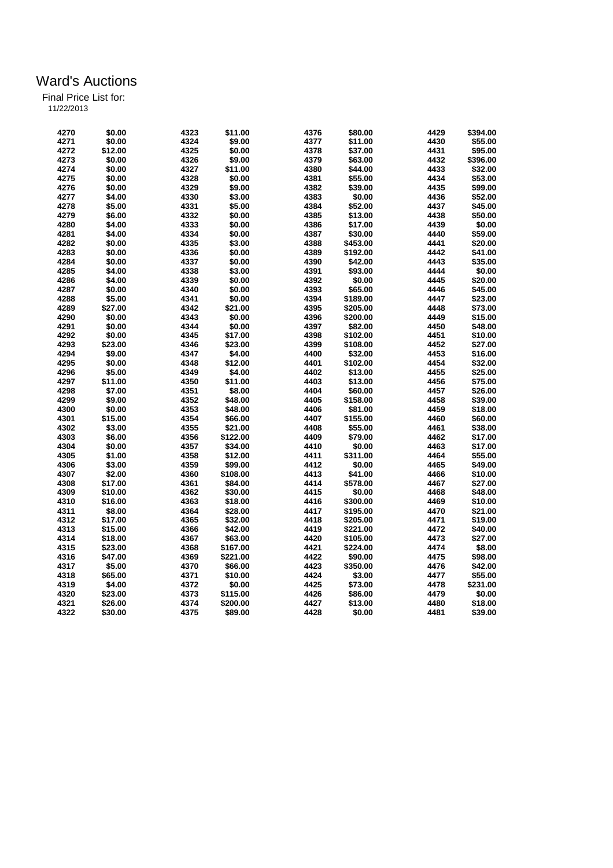| 4270 | \$0.00  | 4323 | \$11.00  | 4376 | \$80.00  | 4429 | \$394.00 |
|------|---------|------|----------|------|----------|------|----------|
| 4271 | \$0.00  | 4324 | \$9.00   | 4377 | \$11.00  | 4430 | \$55.00  |
| 4272 | \$12.00 | 4325 | \$0.00   | 4378 | \$37.00  | 4431 | \$95.00  |
| 4273 | \$0.00  | 4326 | \$9.00   | 4379 | \$63.00  | 4432 | \$396.00 |
| 4274 | \$0.00  | 4327 | \$11.00  | 4380 | \$44.00  | 4433 | \$32.00  |
| 4275 | \$0.00  | 4328 | \$0.00   | 4381 | \$55.00  | 4434 | \$53.00  |
| 4276 | \$0.00  | 4329 | \$9.00   | 4382 | \$39.00  | 4435 | \$99.00  |
| 4277 | \$4.00  | 4330 | \$3.00   | 4383 | \$0.00   | 4436 | \$52.00  |
| 4278 | \$5.00  | 4331 | \$5.00   | 4384 | \$52.00  | 4437 | \$45.00  |
| 4279 | \$6.00  | 4332 | \$0.00   | 4385 | \$13.00  | 4438 | \$50.00  |
| 4280 | \$4.00  | 4333 | \$0.00   | 4386 | \$17.00  | 4439 | \$0.00   |
| 4281 | \$4.00  | 4334 | \$0.00   | 4387 | \$30.00  | 4440 | \$59.00  |
| 4282 | \$0.00  | 4335 | \$3.00   | 4388 | \$453.00 | 4441 | \$20.00  |
| 4283 | \$0.00  | 4336 | \$0.00   | 4389 | \$192.00 | 4442 | \$41.00  |
| 4284 | \$0.00  | 4337 | \$0.00   | 4390 | \$42.00  | 4443 | \$35.00  |
| 4285 | \$4.00  | 4338 | \$3.00   | 4391 | \$93.00  | 4444 | \$0.00   |
| 4286 | \$4.00  | 4339 | \$0.00   | 4392 | \$0.00   | 4445 | \$20.00  |
| 4287 | \$0.00  | 4340 | \$0.00   | 4393 | \$65.00  | 4446 | \$45.00  |
| 4288 | \$5.00  | 4341 | \$0.00   | 4394 | \$189.00 | 4447 | \$23.00  |
|      |         |      |          |      |          |      |          |
| 4289 | \$27.00 | 4342 | \$21.00  | 4395 | \$205.00 | 4448 | \$73.00  |
| 4290 | \$0.00  | 4343 | \$0.00   | 4396 | \$200.00 | 4449 | \$15.00  |
| 4291 | \$0.00  | 4344 | \$0.00   | 4397 | \$82.00  | 4450 | \$48.00  |
| 4292 | \$0.00  | 4345 | \$17.00  | 4398 | \$102.00 | 4451 | \$10.00  |
| 4293 | \$23.00 | 4346 | \$23.00  | 4399 | \$108.00 | 4452 | \$27.00  |
| 4294 | \$9.00  | 4347 | \$4.00   | 4400 | \$32.00  | 4453 | \$16.00  |
| 4295 | \$0.00  | 4348 | \$12.00  | 4401 | \$102.00 | 4454 | \$32.00  |
| 4296 | \$5.00  | 4349 | \$4.00   | 4402 | \$13.00  | 4455 | \$25.00  |
| 4297 | \$11.00 | 4350 | \$11.00  | 4403 | \$13.00  | 4456 | \$75.00  |
| 4298 | \$7.00  | 4351 | \$8.00   | 4404 | \$60.00  | 4457 | \$26.00  |
| 4299 | \$9.00  | 4352 | \$48.00  | 4405 | \$158.00 | 4458 | \$39.00  |
| 4300 | \$0.00  | 4353 | \$48.00  | 4406 | \$81.00  | 4459 | \$18.00  |
| 4301 | \$15.00 | 4354 | \$66.00  | 4407 | \$155.00 | 4460 | \$60.00  |
| 4302 | \$3.00  | 4355 | \$21.00  | 4408 | \$55.00  | 4461 | \$38.00  |
| 4303 | \$6.00  | 4356 | \$122.00 | 4409 | \$79.00  | 4462 | \$17.00  |
| 4304 | \$0.00  | 4357 | \$34.00  | 4410 | \$0.00   | 4463 | \$17.00  |
| 4305 | \$1.00  | 4358 | \$12.00  | 4411 | \$311.00 | 4464 | \$55.00  |
| 4306 | \$3.00  | 4359 | \$99.00  | 4412 | \$0.00   | 4465 | \$49.00  |
| 4307 | \$2.00  | 4360 | \$108.00 | 4413 | \$41.00  | 4466 | \$10.00  |
| 4308 | \$17.00 | 4361 | \$84.00  | 4414 | \$578.00 | 4467 | \$27.00  |
| 4309 | \$10.00 | 4362 | \$30.00  | 4415 | \$0.00   | 4468 | \$48.00  |
| 4310 | \$16.00 | 4363 | \$18.00  | 4416 | \$300.00 | 4469 | \$10.00  |
| 4311 | \$8.00  | 4364 | \$28.00  | 4417 | \$195.00 | 4470 | \$21.00  |
| 4312 | \$17.00 | 4365 | \$32.00  | 4418 | \$205.00 | 4471 | \$19.00  |
| 4313 | \$15.00 | 4366 | \$42.00  | 4419 | \$221.00 | 4472 | \$40.00  |
| 4314 | \$18.00 | 4367 | \$63.00  | 4420 | \$105.00 | 4473 | \$27.00  |
| 4315 | \$23.00 | 4368 | \$167.00 | 4421 | \$224.00 | 4474 | \$8.00   |
| 4316 | \$47.00 | 4369 | \$221.00 | 4422 | \$90.00  | 4475 | \$98.00  |
| 4317 | \$5.00  | 4370 | \$66.00  | 4423 | \$350.00 | 4476 | \$42.00  |
| 4318 | \$65.00 | 4371 | \$10.00  | 4424 | \$3.00   | 4477 | \$55.00  |
| 4319 | \$4.00  | 4372 | \$0.00   | 4425 | \$73.00  | 4478 | \$231.00 |
| 4320 | \$23.00 | 4373 | \$115.00 | 4426 | \$86.00  | 4479 | \$0.00   |
| 4321 | \$26.00 | 4374 | \$200.00 | 4427 | \$13.00  | 4480 | \$18.00  |
| 4322 | \$30.00 | 4375 | \$89.00  | 4428 | \$0.00   | 4481 | \$39.00  |
|      |         |      |          |      |          |      |          |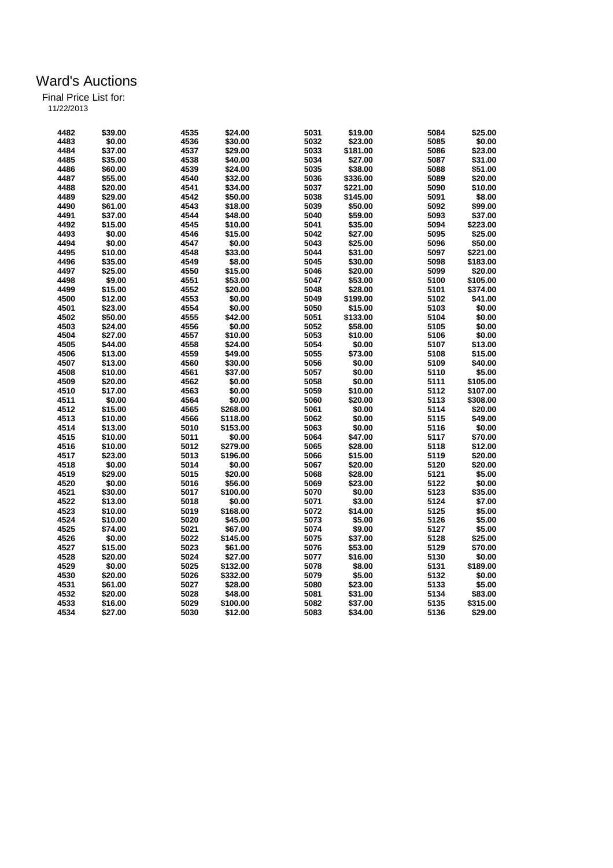| 4482 | \$39.00 | 4535 | \$24.00  | 5031 | \$19.00  | 5084 | \$25.00  |
|------|---------|------|----------|------|----------|------|----------|
| 4483 | \$0.00  | 4536 | \$30.00  | 5032 | \$23.00  | 5085 | \$0.00   |
| 4484 | \$37.00 | 4537 | \$29.00  | 5033 | \$181.00 | 5086 | \$23.00  |
| 4485 | \$35.00 | 4538 | \$40.00  | 5034 | \$27.00  | 5087 | \$31.00  |
| 4486 | \$60.00 | 4539 | \$24.00  | 5035 | \$38.00  | 5088 | \$51.00  |
| 4487 | \$55.00 | 4540 | \$32.00  | 5036 | \$336.00 | 5089 | \$20.00  |
| 4488 | \$20.00 | 4541 | \$34.00  | 5037 | \$221.00 | 5090 | \$10.00  |
| 4489 | \$29.00 | 4542 | \$50.00  | 5038 | \$145.00 | 5091 | \$8.00   |
| 4490 | \$61.00 | 4543 | \$18.00  | 5039 | \$50.00  | 5092 | \$99.00  |
| 4491 | \$37.00 | 4544 | \$48.00  | 5040 | \$59.00  | 5093 | \$37.00  |
| 4492 | \$15.00 | 4545 | \$10.00  | 5041 | \$35.00  | 5094 | \$223.00 |
| 4493 | \$0.00  | 4546 | \$15.00  | 5042 | \$27.00  | 5095 | \$25.00  |
| 4494 | \$0.00  | 4547 | \$0.00   | 5043 | \$25.00  | 5096 | \$50.00  |
| 4495 | \$10.00 | 4548 | \$33.00  | 5044 | \$31.00  | 5097 | \$221.00 |
| 4496 | \$35.00 | 4549 | \$8.00   | 5045 | \$30.00  | 5098 | \$183.00 |
| 4497 | \$25.00 | 4550 | \$15.00  | 5046 | \$20.00  | 5099 | \$20.00  |
| 4498 | \$9.00  | 4551 | \$53.00  | 5047 | \$53.00  | 5100 | \$105.00 |
| 4499 | \$15.00 | 4552 | \$20.00  | 5048 | \$28.00  | 5101 | \$374.00 |
| 4500 | \$12.00 | 4553 | \$0.00   | 5049 | \$199.00 | 5102 | \$41.00  |
| 4501 | \$23.00 | 4554 | \$0.00   | 5050 | \$15.00  | 5103 | \$0.00   |
| 4502 | \$50.00 | 4555 | \$42.00  | 5051 | \$133.00 | 5104 | \$0.00   |
| 4503 | \$24.00 | 4556 | \$0.00   | 5052 | \$58.00  | 5105 | \$0.00   |
| 4504 | \$27.00 |      | \$10.00  | 5053 | \$10.00  | 5106 |          |
|      |         | 4557 |          |      |          |      | \$0.00   |
| 4505 | \$44.00 | 4558 | \$24.00  | 5054 | \$0.00   | 5107 | \$13.00  |
| 4506 | \$13.00 | 4559 | \$49.00  | 5055 | \$73.00  | 5108 | \$15.00  |
| 4507 | \$13.00 | 4560 | \$30.00  | 5056 | \$0.00   | 5109 | \$40.00  |
| 4508 | \$10.00 | 4561 | \$37.00  | 5057 | \$0.00   | 5110 | \$5.00   |
| 4509 | \$20.00 | 4562 | \$0.00   | 5058 | \$0.00   | 5111 | \$105.00 |
| 4510 | \$17.00 | 4563 | \$0.00   | 5059 | \$10.00  | 5112 | \$107.00 |
| 4511 | \$0.00  | 4564 | \$0.00   | 5060 | \$20.00  | 5113 | \$308.00 |
| 4512 | \$15.00 | 4565 | \$268.00 | 5061 | \$0.00   | 5114 | \$20.00  |
| 4513 | \$10.00 | 4566 | \$118.00 | 5062 | \$0.00   | 5115 | \$49.00  |
| 4514 | \$13.00 | 5010 | \$153.00 | 5063 | \$0.00   | 5116 | \$0.00   |
| 4515 | \$10.00 | 5011 | \$0.00   | 5064 | \$47.00  | 5117 | \$70.00  |
| 4516 | \$10.00 | 5012 | \$279.00 | 5065 | \$28.00  | 5118 | \$12.00  |
| 4517 | \$23.00 | 5013 | \$196.00 | 5066 | \$15.00  | 5119 | \$20.00  |
| 4518 | \$0.00  | 5014 | \$0.00   | 5067 | \$20.00  | 5120 | \$20.00  |
| 4519 | \$29.00 | 5015 | \$20.00  | 5068 | \$28.00  | 5121 | \$5.00   |
| 4520 | \$0.00  | 5016 | \$56.00  | 5069 | \$23.00  | 5122 | \$0.00   |
| 4521 | \$30.00 | 5017 | \$100.00 | 5070 | \$0.00   | 5123 | \$35.00  |
| 4522 | \$13.00 | 5018 | \$0.00   | 5071 | \$3.00   | 5124 | \$7.00   |
| 4523 | \$10.00 | 5019 | \$168.00 | 5072 | \$14.00  | 5125 | \$5.00   |
| 4524 | \$10.00 | 5020 | \$45.00  | 5073 | \$5.00   | 5126 | \$5.00   |
| 4525 | \$74.00 | 5021 | \$67.00  | 5074 | \$9.00   | 5127 | \$5.00   |
| 4526 | \$0.00  | 5022 | \$145.00 | 5075 | \$37.00  | 5128 | \$25.00  |
| 4527 | \$15.00 | 5023 | \$61.00  | 5076 | \$53.00  | 5129 | \$70.00  |
| 4528 | \$20.00 | 5024 | \$27.00  | 5077 | \$16.00  | 5130 | \$0.00   |
| 4529 | \$0.00  | 5025 | \$132.00 | 5078 | \$8.00   | 5131 | \$189.00 |
| 4530 | \$20.00 | 5026 | \$332.00 | 5079 | \$5.00   | 5132 | \$0.00   |
| 4531 | \$61.00 | 5027 | \$28.00  | 5080 | \$23.00  | 5133 | \$5.00   |
| 4532 | \$20.00 | 5028 | \$48.00  | 5081 | \$31.00  | 5134 | \$83.00  |
| 4533 | \$16.00 | 5029 | \$100.00 | 5082 | \$37.00  | 5135 | \$315.00 |
| 4534 | \$27.00 | 5030 | \$12.00  | 5083 | \$34.00  | 5136 | \$29.00  |
|      |         |      |          |      |          |      |          |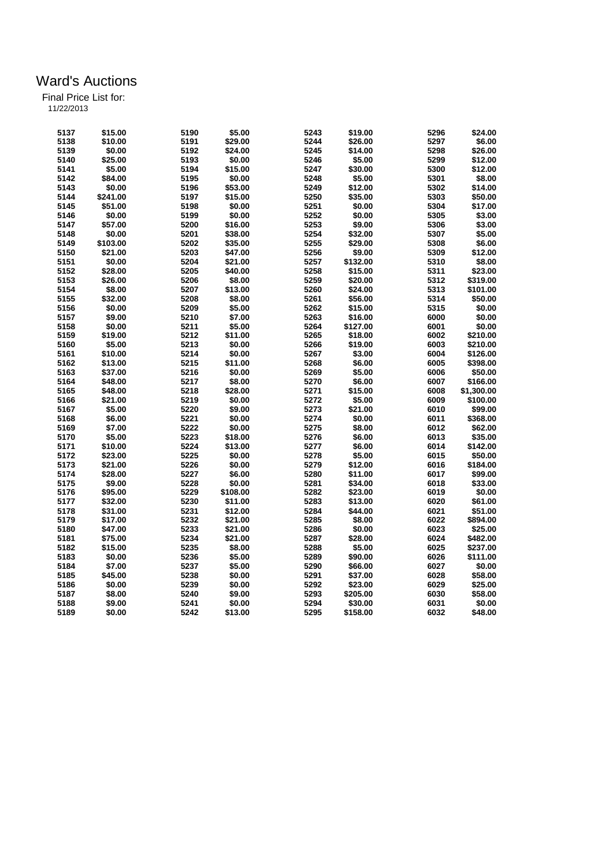|  | 11/22/2013 |  |  |
|--|------------|--|--|
|  |            |  |  |

| 5137 | \$15.00  | 5190 | \$5.00   | 5243 | \$19.00  | 5296 | \$24.00    |
|------|----------|------|----------|------|----------|------|------------|
| 5138 | \$10.00  | 5191 | \$29.00  | 5244 | \$26.00  | 5297 | \$6.00     |
| 5139 | \$0.00   | 5192 | \$24.00  | 5245 | \$14.00  | 5298 | \$26.00    |
| 5140 | \$25.00  | 5193 | \$0.00   | 5246 | \$5.00   | 5299 | \$12.00    |
| 5141 | \$5.00   | 5194 | \$15.00  | 5247 | \$30.00  | 5300 | \$12.00    |
| 5142 | \$84.00  | 5195 | \$0.00   | 5248 | \$5.00   | 5301 | \$8.00     |
| 5143 | \$0.00   | 5196 | \$53.00  | 5249 | \$12.00  | 5302 | \$14.00    |
| 5144 | \$241.00 | 5197 | \$15.00  | 5250 | \$35.00  | 5303 | \$50.00    |
| 5145 |          | 5198 | \$0.00   | 5251 | \$0.00   | 5304 | \$17.00    |
|      | \$51.00  |      |          |      |          |      |            |
| 5146 | \$0.00   | 5199 | \$0.00   | 5252 | \$0.00   | 5305 | \$3.00     |
| 5147 | \$57.00  | 5200 | \$16.00  | 5253 | \$9.00   | 5306 | \$3.00     |
| 5148 | \$0.00   | 5201 | \$38.00  | 5254 | \$32.00  | 5307 | \$5.00     |
| 5149 | \$103.00 | 5202 | \$35.00  | 5255 | \$29.00  | 5308 | \$6.00     |
| 5150 | \$21.00  | 5203 | \$47.00  | 5256 | \$9.00   | 5309 | \$12.00    |
| 5151 | \$0.00   | 5204 | \$21.00  | 5257 | \$132.00 | 5310 | \$8.00     |
| 5152 | \$28.00  | 5205 | \$40.00  | 5258 | \$15.00  | 5311 | \$23.00    |
| 5153 | \$26.00  | 5206 | \$8.00   | 5259 | \$20.00  | 5312 | \$319.00   |
| 5154 | \$8.00   | 5207 | \$13.00  | 5260 | \$24.00  | 5313 | \$101.00   |
| 5155 | \$32.00  | 5208 | \$8.00   | 5261 | \$56.00  | 5314 | \$50.00    |
| 5156 | \$0.00   | 5209 | \$5.00   | 5262 | \$15.00  | 5315 | \$0.00     |
| 5157 | \$9.00   | 5210 | \$7.00   | 5263 | \$16.00  | 6000 | \$0.00     |
| 5158 | \$0.00   | 5211 | \$5.00   | 5264 | \$127.00 | 6001 | \$0.00     |
| 5159 | \$19.00  | 5212 | \$11.00  | 5265 | \$18.00  | 6002 | \$210.00   |
| 5160 | \$5.00   | 5213 | \$0.00   | 5266 | \$19.00  | 6003 | \$210.00   |
| 5161 | \$10.00  | 5214 | \$0.00   | 5267 | \$3.00   | 6004 | \$126.00   |
| 5162 | \$13.00  | 5215 | \$11.00  | 5268 | \$6.00   | 6005 | \$398.00   |
| 5163 | \$37.00  | 5216 | \$0.00   | 5269 | \$5.00   | 6006 | \$50.00    |
| 5164 | \$48.00  | 5217 | \$8.00   | 5270 | \$6.00   | 6007 | \$166.00   |
| 5165 | \$48.00  | 5218 | \$28.00  | 5271 | \$15.00  | 6008 | \$1,300.00 |
| 5166 | \$21.00  | 5219 | \$0.00   | 5272 | \$5.00   | 6009 | \$100.00   |
| 5167 | \$5.00   | 5220 | \$9.00   | 5273 | \$21.00  | 6010 | \$99.00    |
| 5168 | \$6.00   | 5221 | \$0.00   | 5274 | \$0.00   | 6011 | \$368.00   |
| 5169 | \$7.00   | 5222 | \$0.00   | 5275 | \$8.00   | 6012 | \$62.00    |
| 5170 | \$5.00   | 5223 | \$18.00  | 5276 | \$6.00   | 6013 | \$35.00    |
|      |          | 5224 |          |      | \$6.00   |      |            |
| 5171 | \$10.00  |      | \$13.00  | 5277 |          | 6014 | \$142.00   |
| 5172 | \$23.00  | 5225 | \$0.00   | 5278 | \$5.00   | 6015 | \$50.00    |
| 5173 | \$21.00  | 5226 | \$0.00   | 5279 | \$12.00  | 6016 | \$184.00   |
| 5174 | \$28.00  | 5227 | \$6.00   | 5280 | \$11.00  | 6017 | \$99.00    |
| 5175 | \$9.00   | 5228 | \$0.00   | 5281 | \$34.00  | 6018 | \$33.00    |
| 5176 | \$95.00  | 5229 | \$108.00 | 5282 | \$23.00  | 6019 | \$0.00     |
| 5177 | \$32.00  | 5230 | \$11.00  | 5283 | \$13.00  | 6020 | \$61.00    |
| 5178 | \$31.00  | 5231 | \$12.00  | 5284 | \$44.00  | 6021 | \$51.00    |
| 5179 | \$17.00  | 5232 | \$21.00  | 5285 | \$8.00   | 6022 | \$894.00   |
| 5180 | \$47.00  | 5233 | \$21.00  | 5286 | \$0.00   | 6023 | \$25.00    |
| 5181 | \$75.00  | 5234 | \$21.00  | 5287 | \$28.00  | 6024 | \$482.00   |
| 5182 | \$15.00  | 5235 | \$8.00   | 5288 | \$5.00   | 6025 | \$237.00   |
| 5183 | \$0.00   | 5236 | \$5.00   | 5289 | \$90.00  | 6026 | \$111.00   |
| 5184 | \$7.00   | 5237 | \$5.00   | 5290 | \$66.00  | 6027 | \$0.00     |
| 5185 | \$45.00  | 5238 | \$0.00   | 5291 | \$37.00  | 6028 | \$58.00    |
| 5186 | \$0.00   | 5239 | \$0.00   | 5292 | \$23.00  | 6029 | \$25.00    |
| 5187 | \$8.00   | 5240 | \$9.00   | 5293 | \$205.00 | 6030 | \$58.00    |
|      |          |      |          |      |          |      |            |
| 5188 | \$9.00   | 5241 | \$0.00   | 5294 | \$30.00  | 6031 | \$0.00     |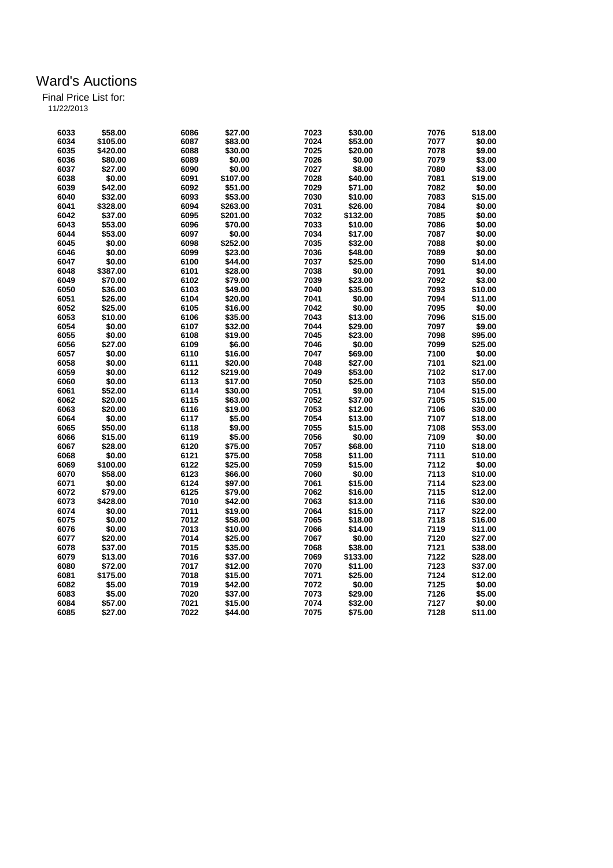| 11/22/2013 |
|------------|
|            |

| 6033 | \$58.00  | 6086 | \$27.00  | 7023 | \$30.00  | 7076 | \$18.00 |
|------|----------|------|----------|------|----------|------|---------|
| 6034 | \$105.00 | 6087 | \$83.00  | 7024 | \$53.00  | 7077 | \$0.00  |
| 6035 | \$420.00 | 6088 | \$30.00  | 7025 | \$20.00  | 7078 | \$9.00  |
| 6036 | \$80.00  | 6089 | \$0.00   | 7026 | \$0.00   | 7079 | \$3.00  |
| 6037 | \$27.00  | 6090 | \$0.00   | 7027 | \$8.00   | 7080 | \$3.00  |
| 6038 | \$0.00   | 6091 | \$107.00 | 7028 | \$40.00  | 7081 | \$19.00 |
| 6039 | \$42.00  | 6092 | \$51.00  | 7029 | \$71.00  | 7082 | \$0.00  |
| 6040 | \$32.00  | 6093 | \$53.00  | 7030 | \$10.00  | 7083 | \$15.00 |
| 6041 | \$328.00 | 6094 | \$263.00 | 7031 | \$26.00  | 7084 | \$0.00  |
| 6042 | \$37.00  | 6095 | \$201.00 | 7032 | \$132.00 | 7085 | \$0.00  |
| 6043 | \$53.00  | 6096 | \$70.00  | 7033 | \$10.00  | 7086 | \$0.00  |
| 6044 | \$53.00  | 6097 | \$0.00   | 7034 | \$17.00  | 7087 | \$0.00  |
| 6045 | \$0.00   | 6098 | \$252.00 | 7035 | \$32.00  | 7088 | \$0.00  |
| 6046 | \$0.00   | 6099 | \$23.00  | 7036 | \$48.00  | 7089 | \$0.00  |
| 6047 | \$0.00   | 6100 | \$44.00  | 7037 | \$25.00  | 7090 | \$14.00 |
| 6048 | \$387.00 | 6101 | \$28.00  | 7038 | \$0.00   | 7091 | \$0.00  |
| 6049 | \$70.00  | 6102 | \$79.00  | 7039 | \$23.00  | 7092 | \$3.00  |
| 6050 | \$36.00  | 6103 | \$49.00  | 7040 | \$35.00  | 7093 | \$10.00 |
| 6051 | \$26.00  | 6104 | \$20.00  | 7041 | \$0.00   | 7094 | \$11.00 |
| 6052 | \$25.00  | 6105 | \$16.00  | 7042 | \$0.00   | 7095 | \$0.00  |
| 6053 | \$10.00  | 6106 | \$35.00  | 7043 | \$13.00  | 7096 | \$15.00 |
| 6054 | \$0.00   | 6107 | \$32.00  | 7044 | \$29.00  | 7097 | \$9.00  |
| 6055 | \$0.00   | 6108 | \$19.00  | 7045 | \$23.00  | 7098 | \$95.00 |
| 6056 | \$27.00  | 6109 | \$6.00   | 7046 | \$0.00   | 7099 | \$25.00 |
| 6057 | \$0.00   | 6110 | \$16.00  | 7047 | \$69.00  | 7100 | \$0.00  |
| 6058 | \$0.00   | 6111 | \$20.00  | 7048 | \$27.00  | 7101 | \$21.00 |
| 6059 | \$0.00   | 6112 | \$219.00 | 7049 | \$53.00  | 7102 | \$17.00 |
| 6060 | \$0.00   | 6113 | \$17.00  | 7050 | \$25.00  | 7103 | \$50.00 |
| 6061 | \$52.00  | 6114 | \$30.00  | 7051 | \$9.00   | 7104 | \$15.00 |
| 6062 | \$20.00  | 6115 | \$63.00  | 7052 | \$37.00  | 7105 | \$15.00 |
| 6063 | \$20.00  | 6116 | \$19.00  | 7053 | \$12.00  | 7106 | \$30.00 |
| 6064 | \$0.00   | 6117 | \$5.00   | 7054 | \$13.00  | 7107 | \$18.00 |
| 6065 | \$50.00  | 6118 | \$9.00   | 7055 | \$15.00  | 7108 | \$53.00 |
| 6066 | \$15.00  | 6119 | \$5.00   | 7056 | \$0.00   | 7109 | \$0.00  |
| 6067 | \$28.00  | 6120 | \$75.00  | 7057 | \$68.00  | 7110 | \$18.00 |
| 6068 | \$0.00   | 6121 | \$75.00  | 7058 | \$11.00  | 7111 | \$10.00 |
| 6069 | \$100.00 | 6122 | \$25.00  | 7059 | \$15.00  | 7112 | \$0.00  |
| 6070 | \$58.00  | 6123 | \$66.00  | 7060 | \$0.00   | 7113 | \$10.00 |
| 6071 | \$0.00   | 6124 | \$97.00  | 7061 | \$15.00  | 7114 | \$23.00 |
| 6072 | \$79.00  | 6125 | \$79.00  | 7062 | \$16.00  | 7115 | \$12.00 |
| 6073 | \$428.00 | 7010 | \$42.00  | 7063 | \$13.00  | 7116 | \$30.00 |
| 6074 | \$0.00   | 7011 | \$19.00  | 7064 | \$15.00  | 7117 | \$22.00 |
| 6075 | \$0.00   | 7012 | \$58.00  | 7065 | \$18.00  | 7118 | \$16.00 |
| 6076 | \$0.00   | 7013 | \$10.00  | 7066 | \$14.00  | 7119 | \$11.00 |
| 6077 | \$20.00  | 7014 | \$25.00  | 7067 | \$0.00   | 7120 | \$27.00 |
| 6078 | \$37.00  | 7015 | \$35.00  | 7068 | \$38.00  | 7121 | \$38.00 |
| 6079 | \$13.00  | 7016 | \$37.00  | 7069 | \$133.00 | 7122 | \$28.00 |
| 6080 | \$72.00  | 7017 | \$12.00  | 7070 | \$11.00  | 7123 | \$37.00 |
| 6081 | \$175.00 | 7018 | \$15.00  | 7071 | \$25.00  | 7124 | \$12.00 |
| 6082 | \$5.00   | 7019 | \$42.00  | 7072 | \$0.00   | 7125 | \$0.00  |
| 6083 | \$5.00   | 7020 | \$37.00  | 7073 | \$29.00  | 7126 | \$5.00  |
| 6084 | \$57.00  | 7021 | \$15.00  | 7074 | \$32.00  | 7127 | \$0.00  |
| 6085 | \$27.00  | 7022 | \$44.00  | 7075 | \$75.00  | 7128 | \$11.00 |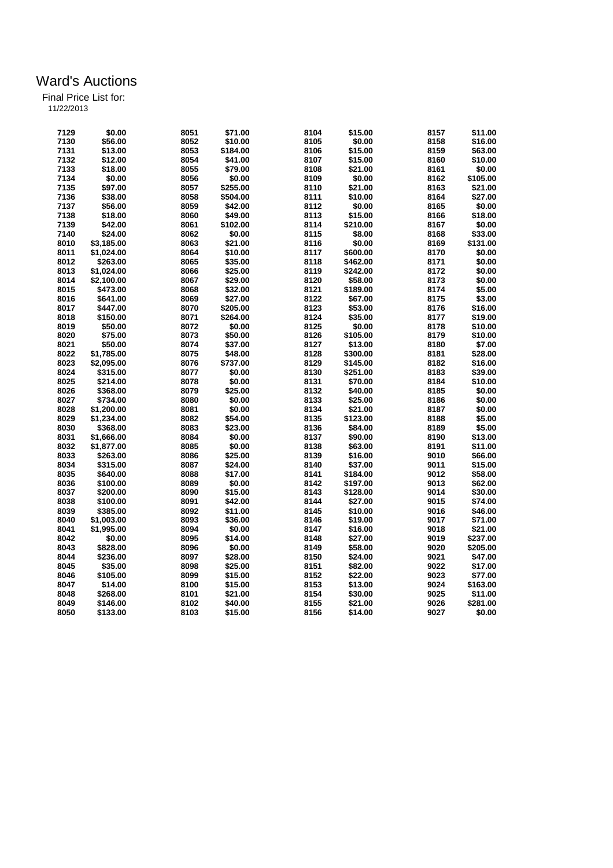| 7129 | \$0.00                   | 8051 | \$71.00  | 8104 | \$15.00  | 8157 | \$11.00  |
|------|--------------------------|------|----------|------|----------|------|----------|
| 7130 | \$56.00                  | 8052 | \$10.00  | 8105 | \$0.00   | 8158 | \$16.00  |
| 7131 | \$13.00                  | 8053 | \$184.00 | 8106 | \$15.00  | 8159 | \$63.00  |
| 7132 | \$12.00                  | 8054 | \$41.00  | 8107 | \$15.00  | 8160 | \$10.00  |
| 7133 | \$18.00                  | 8055 | \$79.00  | 8108 | \$21.00  | 8161 | \$0.00   |
| 7134 | \$0.00                   | 8056 | \$0.00   | 8109 | \$0.00   | 8162 | \$105.00 |
| 7135 | \$97.00                  | 8057 | \$255.00 | 8110 | \$21.00  | 8163 | \$21.00  |
| 7136 | \$38.00                  | 8058 | \$504.00 | 8111 | \$10.00  | 8164 | \$27.00  |
| 7137 | \$56.00                  | 8059 | \$42.00  | 8112 | \$0.00   | 8165 | \$0.00   |
| 7138 | \$18.00                  | 8060 | \$49.00  | 8113 | \$15.00  | 8166 | \$18.00  |
| 7139 | \$42.00                  | 8061 | \$102.00 | 8114 | \$210.00 | 8167 | \$0.00   |
| 7140 | \$24.00                  | 8062 | \$0.00   | 8115 | \$8.00   | 8168 | \$33.00  |
|      |                          |      |          |      |          |      |          |
| 8010 | \$3,185.00               | 8063 | \$21.00  | 8116 | \$0.00   | 8169 | \$131.00 |
| 8011 | \$1,024.00               | 8064 | \$10.00  | 8117 | \$600.00 | 8170 | \$0.00   |
| 8012 | \$263.00                 | 8065 | \$35.00  | 8118 | \$462.00 | 8171 | \$0.00   |
| 8013 | \$1.024.00               | 8066 | \$25.00  | 8119 | \$242.00 | 8172 | \$0.00   |
| 8014 | \$2,100.00               | 8067 | \$29.00  | 8120 | \$58.00  | 8173 | \$0.00   |
| 8015 | \$473.00                 | 8068 | \$32.00  | 8121 | \$189.00 | 8174 | \$5.00   |
| 8016 | \$641.00                 | 8069 | \$27.00  | 8122 | \$67.00  | 8175 | \$3.00   |
| 8017 | \$447.00                 | 8070 | \$205.00 | 8123 | \$53.00  | 8176 | \$16.00  |
| 8018 | \$150.00                 | 8071 | \$264.00 | 8124 | \$35.00  | 8177 | \$19.00  |
| 8019 | \$50.00                  | 8072 | \$0.00   | 8125 | \$0.00   | 8178 | \$10.00  |
| 8020 | \$75.00                  | 8073 | \$50.00  | 8126 | \$105.00 | 8179 | \$10.00  |
| 8021 | \$50.00                  | 8074 | \$37.00  | 8127 | \$13.00  | 8180 | \$7.00   |
| 8022 | \$1,785.00               | 8075 | \$48.00  | 8128 | \$300.00 | 8181 | \$28.00  |
| 8023 | \$2,095.00               | 8076 | \$737.00 | 8129 | \$145.00 | 8182 | \$16.00  |
| 8024 | \$315.00                 | 8077 | \$0.00   | 8130 | \$251.00 | 8183 | \$39.00  |
| 8025 | \$214.00                 | 8078 | \$0.00   | 8131 | \$70.00  | 8184 | \$10.00  |
| 8026 | \$368.00                 | 8079 | \$25.00  | 8132 | \$40.00  | 8185 | \$0.00   |
| 8027 | \$734.00                 | 8080 | \$0.00   | 8133 | \$25.00  | 8186 | \$0.00   |
| 8028 |                          | 8081 | \$0.00   | 8134 | \$21.00  | 8187 | \$0.00   |
| 8029 | \$1,200.00<br>\$1,234.00 | 8082 |          |      | \$123.00 |      |          |
|      |                          |      | \$54.00  | 8135 |          | 8188 | \$5.00   |
| 8030 | \$368.00                 | 8083 | \$23.00  | 8136 | \$84.00  | 8189 | \$5.00   |
| 8031 | \$1,666.00               | 8084 | \$0.00   | 8137 | \$90.00  | 8190 | \$13.00  |
| 8032 | \$1,877.00               | 8085 | \$0.00   | 8138 | \$63.00  | 8191 | \$11.00  |
| 8033 | \$263.00                 | 8086 | \$25.00  | 8139 | \$16.00  | 9010 | \$66.00  |
| 8034 | \$315.00                 | 8087 | \$24.00  | 8140 | \$37.00  | 9011 | \$15.00  |
| 8035 | \$640.00                 | 8088 | \$17.00  | 8141 | \$184.00 | 9012 | \$58.00  |
| 8036 | \$100.00                 | 8089 | \$0.00   | 8142 | \$197.00 | 9013 | \$62.00  |
| 8037 | \$200.00                 | 8090 | \$15.00  | 8143 | \$128.00 | 9014 | \$30.00  |
| 8038 | \$100.00                 | 8091 | \$42.00  | 8144 | \$27.00  | 9015 | \$74.00  |
| 8039 | \$385.00                 | 8092 | \$11.00  | 8145 | \$10.00  | 9016 | \$46.00  |
| 8040 | \$1,003.00               | 8093 | \$36.00  | 8146 | \$19.00  | 9017 | \$71.00  |
| 8041 | \$1,995.00               | 8094 | \$0.00   | 8147 | \$16.00  | 9018 | \$21.00  |
| 8042 | \$0.00                   | 8095 | \$14.00  | 8148 | \$27.00  | 9019 | \$237.00 |
| 8043 | \$828.00                 | 8096 | \$0.00   | 8149 | \$58.00  | 9020 | \$205.00 |
| 8044 | \$236.00                 | 8097 | \$28.00  | 8150 | \$24.00  | 9021 | \$47.00  |
| 8045 | \$35.00                  | 8098 | \$25.00  | 8151 | \$82.00  | 9022 | \$17.00  |
| 8046 | \$105.00                 | 8099 | \$15.00  | 8152 | \$22.00  | 9023 | \$77.00  |
| 8047 | \$14.00                  | 8100 | \$15.00  | 8153 | \$13.00  | 9024 | \$163.00 |
| 8048 | \$268.00                 | 8101 | \$21.00  | 8154 | \$30.00  | 9025 | \$11.00  |
| 8049 | \$146.00                 | 8102 | \$40.00  | 8155 | \$21.00  | 9026 | \$281.00 |
| 8050 |                          | 8103 | \$15.00  |      | \$14.00  | 9027 | \$0.00   |
|      | \$133.00                 |      |          | 8156 |          |      |          |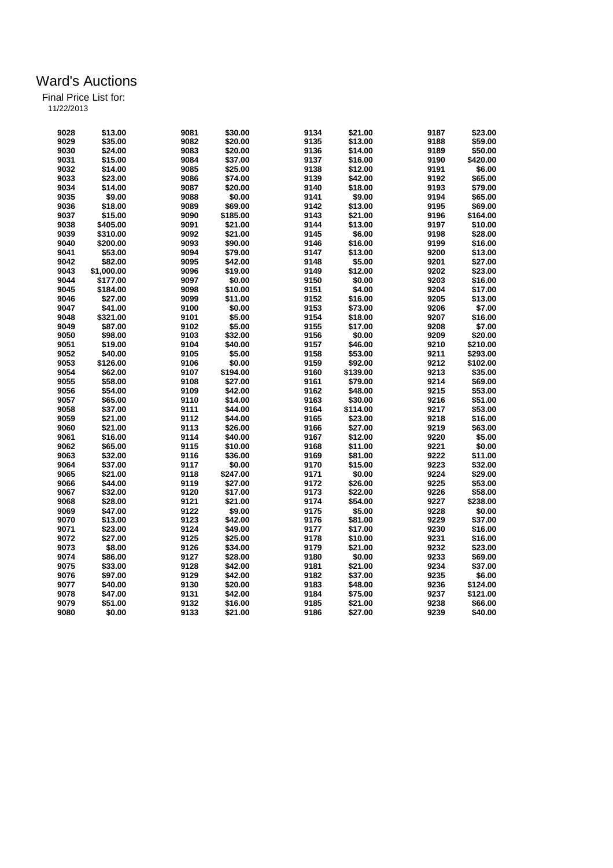| 11/22/2013 |  |
|------------|--|
|            |  |

| 9028 | \$13.00    | 9081         | \$30.00  | 9134 | \$21.00  | 9187         | \$23.00             |
|------|------------|--------------|----------|------|----------|--------------|---------------------|
| 9029 | \$35.00    | 9082         | \$20.00  | 9135 | \$13.00  | 9188         | \$59.00             |
| 9030 | \$24.00    | 9083         | \$20.00  | 9136 | \$14.00  | 9189         | \$50.00             |
| 9031 | \$15.00    | 9084         | \$37.00  | 9137 | \$16.00  | 9190         | \$420.00            |
| 9032 | \$14.00    | 9085         | \$25.00  | 9138 | \$12.00  | 9191         | \$6.00              |
| 9033 | \$23.00    | 9086         | \$74.00  | 9139 | \$42.00  | 9192         | \$65.00             |
| 9034 | \$14.00    | 9087         | \$20.00  | 9140 | \$18.00  | 9193         | \$79.00             |
| 9035 | \$9.00     | 9088         | \$0.00   | 9141 | \$9.00   | 9194         | \$65.00             |
| 9036 | \$18.00    | 9089         | \$69.00  | 9142 | \$13.00  | 9195         | \$69.00             |
|      |            |              |          |      |          |              |                     |
| 9037 | \$15.00    | 9090         | \$185.00 | 9143 | \$21.00  | 9196         | \$164.00            |
| 9038 | \$405.00   | 9091         | \$21.00  | 9144 | \$13.00  | 9197         | \$10.00             |
| 9039 | \$310.00   | 9092         | \$21.00  | 9145 | \$6.00   | 9198         | \$28.00             |
| 9040 | \$200.00   | 9093         | \$90.00  | 9146 | \$16.00  | 9199         | \$16.00             |
| 9041 | \$53.00    | 9094         | \$79.00  | 9147 | \$13.00  | 9200         | \$13.00             |
| 9042 | \$82.00    | 9095         | \$42.00  | 9148 | \$5.00   | 9201         | \$27.00             |
| 9043 | \$1,000.00 | 9096         | \$19.00  | 9149 | \$12.00  | 9202         | \$23.00             |
| 9044 | \$177.00   | 9097         | \$0.00   | 9150 | \$0.00   | 9203         | \$16.00             |
| 9045 | \$184.00   | 9098         | \$10.00  | 9151 | \$4.00   | 9204         | \$17.00             |
| 9046 | \$27.00    | 9099         | \$11.00  | 9152 | \$16.00  | 9205         | \$13.00             |
| 9047 | \$41.00    | 9100         | \$0.00   | 9153 | \$73.00  | 9206         | \$7.00              |
| 9048 | \$321.00   | 9101         | \$5.00   | 9154 | \$18.00  | 9207         | \$16.00             |
| 9049 | \$87.00    | 9102         | \$5.00   | 9155 | \$17.00  | 9208         | \$7.00              |
| 9050 | \$98.00    | 9103         | \$32.00  | 9156 | \$0.00   | 9209         | \$20.00             |
| 9051 | \$19.00    | 9104         | \$40.00  | 9157 | \$46.00  | 9210         | \$210.00            |
| 9052 | \$40.00    | 9105         | \$5.00   | 9158 | \$53.00  | 9211         | \$293.00            |
| 9053 | \$126.00   | 9106         | \$0.00   | 9159 | \$92.00  | 9212         | \$102.00            |
| 9054 | \$62.00    | 9107         | \$194.00 | 9160 | \$139.00 | 9213         | \$35.00             |
| 9055 | \$58.00    | 9108         | \$27.00  | 9161 | \$79.00  | 9214         | \$69.00             |
| 9056 | \$54.00    | 9109         | \$42.00  | 9162 | \$48.00  | 9215         | \$53.00             |
| 9057 | \$65.00    | 9110         | \$14.00  | 9163 | \$30.00  | 9216         | \$51.00             |
|      |            |              |          |      |          |              |                     |
| 9058 | \$37.00    | 9111         | \$44.00  | 9164 | \$114.00 | 9217         | \$53.00             |
| 9059 | \$21.00    | 9112         | \$44.00  | 9165 | \$23.00  | 9218         | \$16.00             |
| 9060 | \$21.00    | 9113         | \$26.00  | 9166 | \$27.00  | 9219         | \$63.00             |
| 9061 | \$16.00    | 9114         | \$40.00  | 9167 | \$12.00  | 9220         | \$5.00              |
| 9062 | \$65.00    | 9115         | \$10.00  | 9168 | \$11.00  | 9221         | \$0.00              |
| 9063 | \$32.00    | 9116         | \$36.00  | 9169 | \$81.00  | 9222         | \$11.00             |
| 9064 | \$37.00    | 9117         | \$0.00   | 9170 | \$15.00  | 9223         | \$32.00             |
| 9065 | \$21.00    | 9118         | \$247.00 | 9171 | \$0.00   | 9224         | \$29.00             |
| 9066 | \$44.00    | 9119         | \$27.00  | 9172 | \$26.00  | 9225         | \$53.00             |
| 9067 | \$32.00    | 9120         | \$17.00  | 9173 | \$22.00  | 9226         | \$58.00             |
| 9068 | \$28.00    | 9121         | \$21.00  | 9174 | \$54.00  | 9227         | \$238.00            |
| 9069 | \$47.00    | 9122         | \$9.00   | 9175 | \$5.00   | 9228         | \$0.00              |
| 9070 | \$13.00    | 9123         | \$42.00  | 9176 | \$81.00  | 9229         | \$37.00             |
| 9071 | \$23.00    | 9124         | \$49.00  | 9177 | \$17.00  | 9230         | \$16.00             |
| 9072 | \$27.00    | 9125         | \$25.00  | 9178 | \$10.00  | 9231         | \$16.00             |
| 9073 | \$8.00     | 9126         | \$34.00  | 9179 | \$21.00  | 9232         | \$23.00             |
| 9074 | \$86.00    | 9127         | \$28.00  | 9180 | \$0.00   | 9233         | \$69.00             |
| 9075 | \$33.00    | 9128         | \$42.00  | 9181 | \$21.00  | 9234         | \$37.00             |
| 9076 | \$97.00    | 9129         | \$42.00  | 9182 | \$37.00  | 9235         | \$6.00              |
| 9077 | \$40.00    | 9130         | \$20.00  | 9183 | \$48.00  | 9236         | \$124.00            |
|      |            |              |          |      |          |              |                     |
| 9078 | \$47.00    | 9131<br>9132 | \$42.00  | 9184 | \$75.00  | 9237<br>9238 | \$121.00<br>\$66.00 |
| 9079 | \$51.00    |              | \$16.00  | 9185 | \$21.00  |              |                     |
| 9080 | \$0.00     | 9133         | \$21.00  | 9186 | \$27.00  | 9239         | \$40.00             |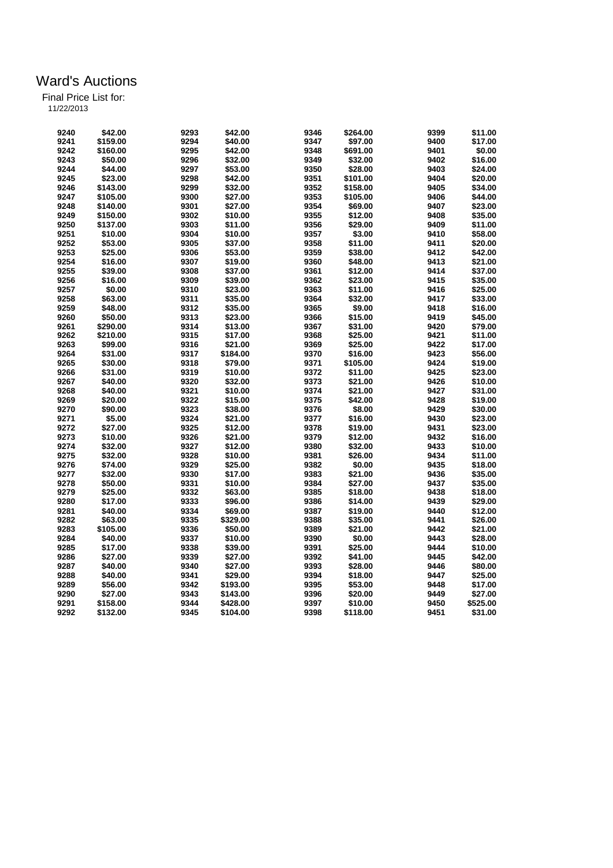| 9240 | \$42.00  | 9293 | \$42.00  | 9346 | \$264.00 | 9399 | \$11.00  |
|------|----------|------|----------|------|----------|------|----------|
| 9241 | \$159.00 | 9294 | \$40.00  | 9347 | \$97.00  | 9400 | \$17.00  |
| 9242 | \$160.00 | 9295 | \$42.00  | 9348 | \$691.00 | 9401 | \$0.00   |
| 9243 | \$50.00  | 9296 | \$32.00  | 9349 | \$32.00  | 9402 | \$16.00  |
| 9244 | \$44.00  | 9297 | \$53.00  | 9350 | \$28.00  | 9403 | \$24.00  |
| 9245 | \$23.00  | 9298 | \$42.00  | 9351 | \$101.00 | 9404 | \$20.00  |
| 9246 | \$143.00 | 9299 | \$32.00  | 9352 | \$158.00 | 9405 | \$34.00  |
| 9247 | \$105.00 | 9300 | \$27.00  | 9353 | \$105.00 | 9406 | \$44.00  |
| 9248 | \$140.00 | 9301 | \$27.00  | 9354 | \$69.00  | 9407 | \$23.00  |
| 9249 | \$150.00 | 9302 | \$10.00  | 9355 | \$12.00  | 9408 | \$35.00  |
| 9250 | \$137.00 | 9303 | \$11.00  | 9356 | \$29.00  | 9409 | \$11.00  |
| 9251 | \$10.00  | 9304 | \$10.00  | 9357 | \$3.00   | 9410 | \$58.00  |
| 9252 | \$53.00  | 9305 | \$37.00  | 9358 | \$11.00  | 9411 | \$20.00  |
| 9253 | \$25.00  | 9306 | \$53.00  | 9359 | \$38.00  | 9412 | \$42.00  |
| 9254 | \$16.00  | 9307 | \$19.00  | 9360 | \$48.00  | 9413 | \$21.00  |
| 9255 | \$39.00  | 9308 | \$37.00  | 9361 | \$12.00  | 9414 | \$37.00  |
| 9256 | \$16.00  | 9309 | \$39.00  | 9362 | \$23.00  | 9415 | \$35.00  |
| 9257 | \$0.00   | 9310 | \$23.00  | 9363 | \$11.00  | 9416 | \$25.00  |
| 9258 | \$63.00  | 9311 | \$35.00  | 9364 | \$32.00  | 9417 | \$33.00  |
| 9259 | \$48.00  | 9312 | \$35.00  | 9365 | \$9.00   | 9418 | \$16.00  |
|      |          |      | \$23.00  |      |          |      |          |
| 9260 | \$50.00  | 9313 |          | 9366 | \$15.00  | 9419 | \$45.00  |
| 9261 | \$290.00 | 9314 | \$13.00  | 9367 | \$31.00  | 9420 | \$79.00  |
| 9262 | \$210.00 | 9315 | \$17.00  | 9368 | \$25.00  | 9421 | \$11.00  |
| 9263 | \$99.00  | 9316 | \$21.00  | 9369 | \$25.00  | 9422 | \$17.00  |
| 9264 | \$31.00  | 9317 | \$184.00 | 9370 | \$16.00  | 9423 | \$56.00  |
| 9265 | \$30.00  | 9318 | \$79.00  | 9371 | \$105.00 | 9424 | \$19.00  |
| 9266 | \$31.00  | 9319 | \$10.00  | 9372 | \$11.00  | 9425 | \$23.00  |
| 9267 | \$40.00  | 9320 | \$32.00  | 9373 | \$21.00  | 9426 | \$10.00  |
| 9268 | \$40.00  | 9321 | \$10.00  | 9374 | \$21.00  | 9427 | \$31.00  |
| 9269 | \$20.00  | 9322 | \$15.00  | 9375 | \$42.00  | 9428 | \$19.00  |
| 9270 | \$90.00  | 9323 | \$38.00  | 9376 | \$8.00   | 9429 | \$30.00  |
| 9271 | \$5.00   | 9324 | \$21.00  | 9377 | \$16.00  | 9430 | \$23.00  |
| 9272 | \$27.00  | 9325 | \$12.00  | 9378 | \$19.00  | 9431 | \$23.00  |
| 9273 | \$10.00  | 9326 | \$21.00  | 9379 | \$12.00  | 9432 | \$16.00  |
| 9274 | \$32.00  | 9327 | \$12.00  | 9380 | \$32.00  | 9433 | \$10.00  |
| 9275 | \$32.00  | 9328 | \$10.00  | 9381 | \$26.00  | 9434 | \$11.00  |
| 9276 | \$74.00  | 9329 | \$25.00  | 9382 | \$0.00   | 9435 | \$18.00  |
| 9277 | \$32.00  | 9330 | \$17.00  | 9383 | \$21.00  | 9436 | \$35.00  |
| 9278 | \$50.00  | 9331 | \$10.00  | 9384 | \$27.00  | 9437 | \$35.00  |
| 9279 | \$25.00  | 9332 | \$63.00  | 9385 | \$18.00  | 9438 | \$18.00  |
| 9280 | \$17.00  | 9333 | \$96.00  | 9386 | \$14.00  | 9439 | \$29.00  |
| 9281 | \$40.00  | 9334 | \$69.00  | 9387 | \$19.00  | 9440 | \$12.00  |
| 9282 | \$63.00  | 9335 | \$329.00 | 9388 | \$35.00  | 9441 | \$26.00  |
| 9283 | \$105.00 | 9336 | \$50.00  | 9389 | \$21.00  | 9442 | \$21.00  |
| 9284 | \$40.00  | 9337 | \$10.00  | 9390 | \$0.00   | 9443 | \$28.00  |
| 9285 | \$17.00  | 9338 | \$39.00  | 9391 | \$25.00  | 9444 | \$10.00  |
| 9286 | \$27.00  | 9339 | \$27.00  | 9392 | \$41.00  | 9445 | \$42.00  |
| 9287 | \$40.00  | 9340 | \$27.00  | 9393 | \$28.00  | 9446 | \$80.00  |
| 9288 | \$40.00  | 9341 | \$29.00  | 9394 | \$18.00  | 9447 | \$25.00  |
| 9289 | \$56.00  | 9342 | \$193.00 | 9395 | \$53.00  | 9448 | \$17.00  |
| 9290 | \$27.00  | 9343 | \$143.00 | 9396 | \$20.00  | 9449 | \$27.00  |
| 9291 | \$158.00 | 9344 | \$428.00 | 9397 | \$10.00  | 9450 | \$525.00 |
| 9292 | \$132.00 | 9345 | \$104.00 | 9398 | \$118.00 | 9451 | \$31.00  |
|      |          |      |          |      |          |      |          |